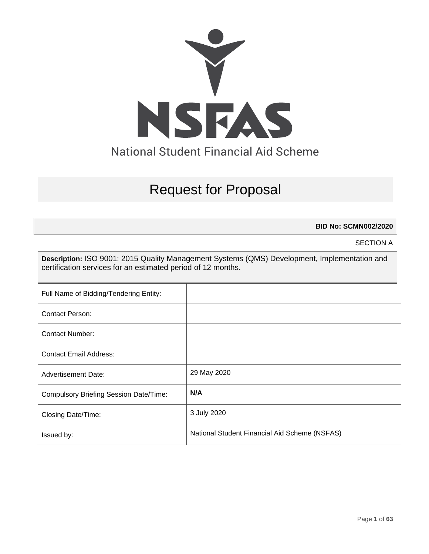

# Request for Proposal

**BID No: SCMN002/2020**

SECTION A

**Description:** ISO 9001: 2015 Quality Management Systems (QMS) Development, Implementation and certification services for an estimated period of 12 months.

| Full Name of Bidding/Tendering Entity:        |                                               |
|-----------------------------------------------|-----------------------------------------------|
| <b>Contact Person:</b>                        |                                               |
| Contact Number:                               |                                               |
| <b>Contact Email Address:</b>                 |                                               |
| <b>Advertisement Date:</b>                    | 29 May 2020                                   |
| <b>Compulsory Briefing Session Date/Time:</b> | N/A                                           |
| <b>Closing Date/Time:</b>                     | 3 July 2020                                   |
| Issued by:                                    | National Student Financial Aid Scheme (NSFAS) |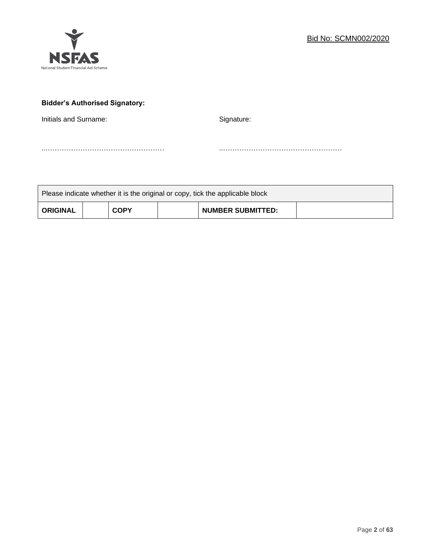

# **Bidder's Authorised Signatory:**

Initials and Surname: Signature: Signature:

..…………………………………………… ..……………………………………………

| Please indicate whether it is the original or copy, tick the applicable block |  |             |  |                          |  |
|-------------------------------------------------------------------------------|--|-------------|--|--------------------------|--|
| <b>ORIGINAL</b>                                                               |  | <b>COPY</b> |  | <b>NUMBER SUBMITTED:</b> |  |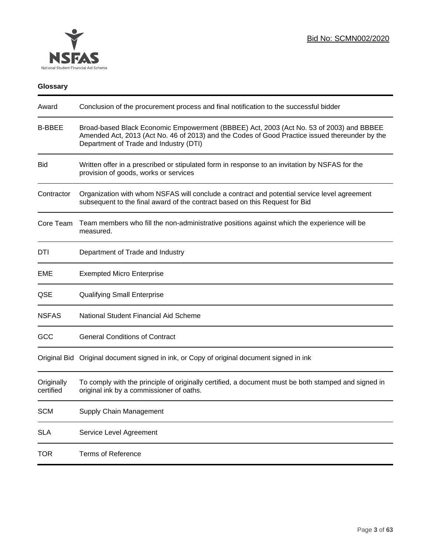

# **Glossary**

| Award                   | Conclusion of the procurement process and final notification to the successful bidder                                                                                                                                               |
|-------------------------|-------------------------------------------------------------------------------------------------------------------------------------------------------------------------------------------------------------------------------------|
| <b>B-BBEE</b>           | Broad-based Black Economic Empowerment (BBBEE) Act, 2003 (Act No. 53 of 2003) and BBBEE<br>Amended Act, 2013 (Act No. 46 of 2013) and the Codes of Good Practice issued thereunder by the<br>Department of Trade and Industry (DTI) |
| <b>Bid</b>              | Written offer in a prescribed or stipulated form in response to an invitation by NSFAS for the<br>provision of goods, works or services                                                                                             |
| Contractor              | Organization with whom NSFAS will conclude a contract and potential service level agreement<br>subsequent to the final award of the contract based on this Request for Bid                                                          |
| Core Team               | Team members who fill the non-administrative positions against which the experience will be<br>measured.                                                                                                                            |
| DTI                     | Department of Trade and Industry                                                                                                                                                                                                    |
| EME                     | <b>Exempted Micro Enterprise</b>                                                                                                                                                                                                    |
| QSE                     | <b>Qualifying Small Enterprise</b>                                                                                                                                                                                                  |
| <b>NSFAS</b>            | National Student Financial Aid Scheme                                                                                                                                                                                               |
| GCC                     | <b>General Conditions of Contract</b>                                                                                                                                                                                               |
|                         | Original Bid Original document signed in ink, or Copy of original document signed in ink                                                                                                                                            |
| Originally<br>certified | To comply with the principle of originally certified, a document must be both stamped and signed in<br>original ink by a commissioner of oaths.                                                                                     |
| <b>SCM</b>              | Supply Chain Management                                                                                                                                                                                                             |
| <b>SLA</b>              | Service Level Agreement                                                                                                                                                                                                             |
| <b>TOR</b>              | <b>Terms of Reference</b>                                                                                                                                                                                                           |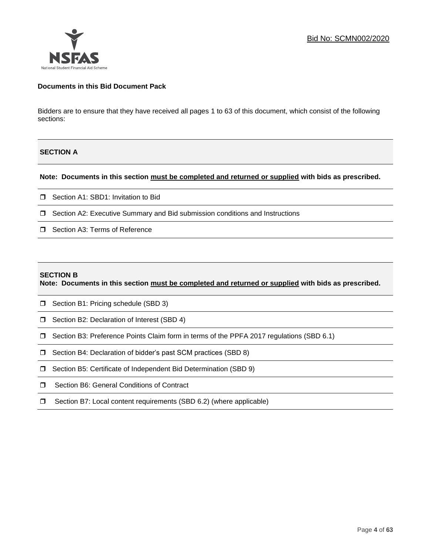

## **Documents in this Bid Document Pack**

Bidders are to ensure that they have received all pages 1 to 63 of this document, which consist of the following sections:

# **SECTION A**

#### **Note: Documents in this section must be completed and returned or supplied with bids as prescribed.**

- □ Section A1: SBD1: Invitation to Bid
- □ Section A2: Executive Summary and Bid submission conditions and Instructions
- □ Section A3: Terms of Reference

#### **SECTION B**

**Note: Documents in this section must be completed and returned or supplied with bids as prescribed.**

- □ Section B1: Pricing schedule (SBD 3)
- □ Section B2: Declaration of Interest (SBD 4)
- Section B3: Preference Points Claim form in terms of the PPFA 2017 regulations (SBD 6.1)
- □ Section B4: Declaration of bidder's past SCM practices (SBD 8)
- □ Section B5: Certificate of Independent Bid Determination (SBD 9)
- **I** Section B6: General Conditions of Contract
- □ Section B7: Local content requirements (SBD 6.2) (where applicable)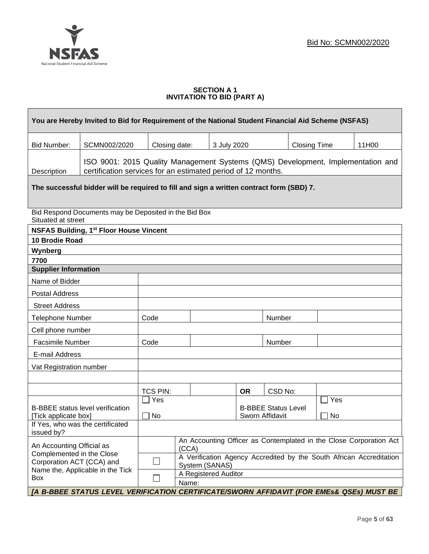

## **SECTION A 1 INVITATION TO BID (PART A)**

| You are Hereby Invited to Bid for Requirement of the National Student Financial Aid Scheme (NSFAS)                                                             |                                                                                          |                                                                                       |                      |             |           |         |                     |                                                                    |       |
|----------------------------------------------------------------------------------------------------------------------------------------------------------------|------------------------------------------------------------------------------------------|---------------------------------------------------------------------------------------|----------------------|-------------|-----------|---------|---------------------|--------------------------------------------------------------------|-------|
| <b>Bid Number:</b>                                                                                                                                             | SCMN002/2020                                                                             | Closing date:                                                                         |                      | 3 July 2020 |           |         | <b>Closing Time</b> |                                                                    | 11H00 |
| ISO 9001: 2015 Quality Management Systems (QMS) Development, Implementation and<br>certification services for an estimated period of 12 months.<br>Description |                                                                                          |                                                                                       |                      |             |           |         |                     |                                                                    |       |
|                                                                                                                                                                | The successful bidder will be required to fill and sign a written contract form (SBD) 7. |                                                                                       |                      |             |           |         |                     |                                                                    |       |
| Situated at street                                                                                                                                             | Bid Respond Documents may be Deposited in the Bid Box                                    |                                                                                       |                      |             |           |         |                     |                                                                    |       |
|                                                                                                                                                                | <b>NSFAS Building, 1st Floor House Vincent</b>                                           |                                                                                       |                      |             |           |         |                     |                                                                    |       |
| <b>10 Brodie Road</b>                                                                                                                                          |                                                                                          |                                                                                       |                      |             |           |         |                     |                                                                    |       |
| Wynberg                                                                                                                                                        |                                                                                          |                                                                                       |                      |             |           |         |                     |                                                                    |       |
| 7700                                                                                                                                                           |                                                                                          |                                                                                       |                      |             |           |         |                     |                                                                    |       |
|                                                                                                                                                                | <b>Supplier Information</b>                                                              |                                                                                       |                      |             |           |         |                     |                                                                    |       |
| Name of Bidder                                                                                                                                                 |                                                                                          |                                                                                       |                      |             |           |         |                     |                                                                    |       |
| <b>Postal Address</b>                                                                                                                                          |                                                                                          |                                                                                       |                      |             |           |         |                     |                                                                    |       |
| <b>Street Address</b>                                                                                                                                          |                                                                                          |                                                                                       |                      |             |           |         |                     |                                                                    |       |
| <b>Telephone Number</b>                                                                                                                                        |                                                                                          | Code                                                                                  |                      |             |           | Number  |                     |                                                                    |       |
| Cell phone number                                                                                                                                              |                                                                                          |                                                                                       |                      |             |           |         |                     |                                                                    |       |
| <b>Facsimile Number</b>                                                                                                                                        |                                                                                          | Code                                                                                  |                      |             |           | Number  |                     |                                                                    |       |
| E-mail Address                                                                                                                                                 |                                                                                          |                                                                                       |                      |             |           |         |                     |                                                                    |       |
| Vat Registration number                                                                                                                                        |                                                                                          |                                                                                       |                      |             |           |         |                     |                                                                    |       |
|                                                                                                                                                                |                                                                                          |                                                                                       |                      |             |           |         |                     |                                                                    |       |
|                                                                                                                                                                |                                                                                          | TCS PIN:                                                                              |                      |             | <b>OR</b> | CSD No: |                     |                                                                    |       |
|                                                                                                                                                                |                                                                                          | Yes                                                                                   |                      |             |           |         |                     | Yes                                                                |       |
| <b>B-BBEE</b> status level verification<br>[Tick applicate box]                                                                                                | <b>B-BBEE Status Level</b><br>No<br>Sworn Affidavit                                      |                                                                                       |                      |             | No        |         |                     |                                                                    |       |
|                                                                                                                                                                | If Yes, who was the certificated                                                         |                                                                                       |                      |             |           |         |                     |                                                                    |       |
| issued by?                                                                                                                                                     |                                                                                          |                                                                                       |                      |             |           |         |                     |                                                                    |       |
| An Accounting Official as                                                                                                                                      |                                                                                          | (CCA)                                                                                 |                      |             |           |         |                     | An Accounting Officer as Contemplated in the Close Corporation Act |       |
| Complemented in the Close<br>Corporation ACT (CCA) and                                                                                                         |                                                                                          | A Verification Agency Accredited by the South African Accreditation<br>System (SANAS) |                      |             |           |         |                     |                                                                    |       |
|                                                                                                                                                                | Name the, Applicable in the Tick                                                         |                                                                                       | A Registered Auditor |             |           |         |                     |                                                                    |       |
| Box                                                                                                                                                            |                                                                                          |                                                                                       | Name:                |             |           |         |                     |                                                                    |       |
|                                                                                                                                                                | [A B-BBEE STATUS LEVEL VERIFICATION CERTIFICATE/SWORN AFFIDAVIT (FOR EMEs& QSEs) MUST BE |                                                                                       |                      |             |           |         |                     |                                                                    |       |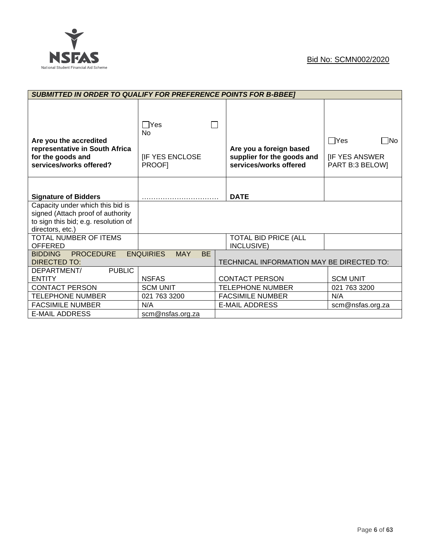

|                                                                                                                                   | <b>SUBMITTED IN ORDER TO QUALIFY FOR PREFERENCE POINTS FOR B-BBEET</b> |                                                                                 |                                                                       |  |  |
|-----------------------------------------------------------------------------------------------------------------------------------|------------------------------------------------------------------------|---------------------------------------------------------------------------------|-----------------------------------------------------------------------|--|--|
| Are you the accredited<br>representative in South Africa<br>for the goods and<br>services/works offered?                          | $\Box$ Yes<br>N <sub>0</sub><br><b>IF YES ENCLOSE</b><br><b>PROOFI</b> | Are you a foreign based<br>supplier for the goods and<br>services/works offered | $\Box$ Yes<br>$\square$ No<br><b>IF YES ANSWER</b><br>PART B:3 BELOW] |  |  |
| <b>Signature of Bidders</b>                                                                                                       |                                                                        | <b>DATE</b>                                                                     |                                                                       |  |  |
| Capacity under which this bid is<br>signed (Attach proof of authority<br>to sign this bid; e.g. resolution of<br>directors, etc.) |                                                                        |                                                                                 |                                                                       |  |  |
| TOTAL NUMBER OF ITEMS<br><b>OFFERED</b>                                                                                           |                                                                        | <b>TOTAL BID PRICE (ALL</b><br>INCLUSIVE)                                       |                                                                       |  |  |
| <b>PROCEDURE</b><br><b>BIDDING</b><br>DIRECTED TO:                                                                                | <b>ENQUIRIES</b><br><b>BE</b><br><b>MAY</b>                            | TECHNICAL INFORMATION MAY BE DIRECTED TO:                                       |                                                                       |  |  |
| <b>PUBLIC</b><br>DEPARTMENT/<br><b>ENTITY</b>                                                                                     | <b>NSFAS</b>                                                           | <b>CONTACT PERSON</b>                                                           | <b>SCM UNIT</b>                                                       |  |  |
| <b>CONTACT PERSON</b>                                                                                                             | <b>SCM UNIT</b>                                                        | <b>TELEPHONE NUMBER</b>                                                         | 021 763 3200                                                          |  |  |
| <b>TELEPHONE NUMBER</b>                                                                                                           | 021 763 3200                                                           | <b>FACSIMILE NUMBER</b>                                                         | N/A                                                                   |  |  |
| <b>FACSIMILE NUMBER</b>                                                                                                           | N/A                                                                    | <b>E-MAIL ADDRESS</b>                                                           | scm@nsfas.org.za                                                      |  |  |
| <b>E-MAIL ADDRESS</b>                                                                                                             | scm@nsfas.org.za                                                       |                                                                                 |                                                                       |  |  |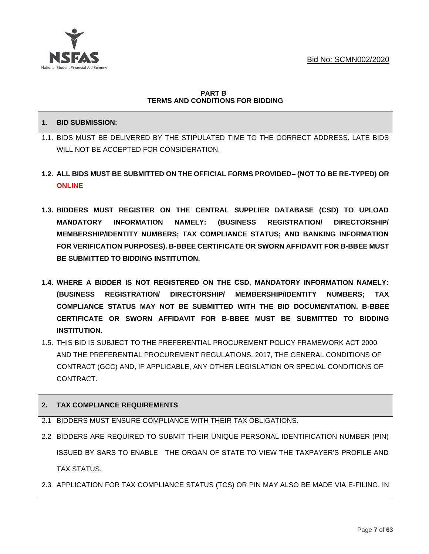

## **PART B TERMS AND CONDITIONS FOR BIDDING**

# **1. BID SUBMISSION:**

- 1.1. BIDS MUST BE DELIVERED BY THE STIPULATED TIME TO THE CORRECT ADDRESS. LATE BIDS WILL NOT BE ACCEPTED FOR CONSIDERATION.
- **1.2. ALL BIDS MUST BE SUBMITTED ON THE OFFICIAL FORMS PROVIDED– (NOT TO BE RE-TYPED) OR ONLINE**
- **1.3. BIDDERS MUST REGISTER ON THE CENTRAL SUPPLIER DATABASE (CSD) TO UPLOAD MANDATORY INFORMATION NAMELY: (BUSINESS REGISTRATION/ DIRECTORSHIP/ MEMBERSHIP/IDENTITY NUMBERS; TAX COMPLIANCE STATUS; AND BANKING INFORMATION FOR VERIFICATION PURPOSES). B-BBEE CERTIFICATE OR SWORN AFFIDAVIT FOR B-BBEE MUST BE SUBMITTED TO BIDDING INSTITUTION.**
- **1.4. WHERE A BIDDER IS NOT REGISTERED ON THE CSD, MANDATORY INFORMATION NAMELY: (BUSINESS REGISTRATION/ DIRECTORSHIP/ MEMBERSHIP/IDENTITY NUMBERS; TAX COMPLIANCE STATUS MAY NOT BE SUBMITTED WITH THE BID DOCUMENTATION. B-BBEE CERTIFICATE OR SWORN AFFIDAVIT FOR B-BBEE MUST BE SUBMITTED TO BIDDING INSTITUTION.**
- 1.5. THIS BID IS SUBJECT TO THE PREFERENTIAL PROCUREMENT POLICY FRAMEWORK ACT 2000 AND THE PREFERENTIAL PROCUREMENT REGULATIONS, 2017, THE GENERAL CONDITIONS OF CONTRACT (GCC) AND, IF APPLICABLE, ANY OTHER LEGISLATION OR SPECIAL CONDITIONS OF CONTRACT.

# **2. TAX COMPLIANCE REQUIREMENTS**

- 2.1 BIDDERS MUST ENSURE COMPLIANCE WITH THEIR TAX OBLIGATIONS.
- 2.2 BIDDERS ARE REQUIRED TO SUBMIT THEIR UNIQUE PERSONAL IDENTIFICATION NUMBER (PIN) ISSUED BY SARS TO ENABLE THE ORGAN OF STATE TO VIEW THE TAXPAYER'S PROFILE AND TAX STATUS.
- 2.3 APPLICATION FOR TAX COMPLIANCE STATUS (TCS) OR PIN MAY ALSO BE MADE VIA E-FILING. IN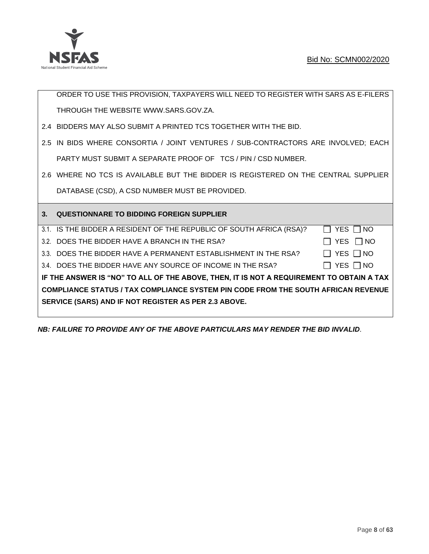

ORDER TO USE THIS PROVISION, TAXPAYERS WILL NEED TO REGISTER WITH SARS AS E-FILERS THROUGH THE WEBSITE [WWW.SARS.GOV.ZA.](http://www.sars.gov.za/)

- 2.4 BIDDERS MAY ALSO SUBMIT A PRINTED TCS TOGETHER WITH THE BID.
- 2.5 IN BIDS WHERE CONSORTIA / JOINT VENTURES / SUB-CONTRACTORS ARE INVOLVED; EACH PARTY MUST SUBMIT A SEPARATE PROOF OF TCS / PIN / CSD NUMBER.
- 2.6 WHERE NO TCS IS AVAILABLE BUT THE BIDDER IS REGISTERED ON THE CENTRAL SUPPLIER DATABASE (CSD), A CSD NUMBER MUST BE PROVIDED.

| 3 <sub>1</sub> | <b>QUESTIONNARE TO BIDDING FOREIGN SUPPLIER</b>                                          |            |
|----------------|------------------------------------------------------------------------------------------|------------|
|                | 3.1. IS THE BIDDER A RESIDENT OF THE REPUBLIC OF SOUTH AFRICA (RSA)?                     | YES     NO |
|                | 3.2. DOES THE BIDDER HAVE A BRANCH IN THE RSA?                                           | YES     NO |
|                | 3.3. DOES THE BIDDER HAVE A PERMANENT ESTABLISHMENT IN THE RSA?                          | YES     NO |
|                | 3.4. DOES THE BIDDER HAVE ANY SOURCE OF INCOME IN THE RSA?                               | YES     NO |
|                | IF THE ANSWER IS "NO" TO ALL OF THE ABOVE, THEN, IT IS NOT A REQUIREMENT TO OBTAIN A TAX |            |
|                | <b>COMPLIANCE STATUS / TAX COMPLIANCE SYSTEM PIN CODE FROM THE SOUTH AFRICAN REVENUE</b> |            |
|                | SERVICE (SARS) AND IF NOT REGISTER AS PER 2.3 ABOVE.                                     |            |
|                |                                                                                          |            |

*NB: FAILURE TO PROVIDE ANY OF THE ABOVE PARTICULARS MAY RENDER THE BID INVALID.*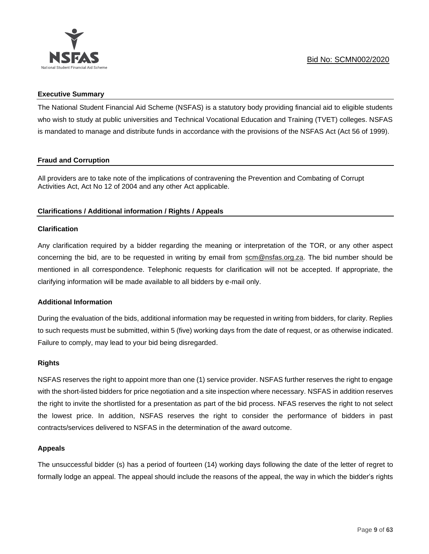

## **Executive Summary**

The National Student Financial Aid Scheme (NSFAS) is a statutory body providing financial aid to eligible students who wish to study at public universities and Technical Vocational Education and Training (TVET) colleges. NSFAS is mandated to manage and distribute funds in accordance with the provisions of the NSFAS Act (Act 56 of 1999).

# **Fraud and Corruption**

All providers are to take note of the implications of contravening the Prevention and Combating of Corrupt Activities Act, Act No 12 of 2004 and any other Act applicable.

# **Clarifications / Additional information / Rights / Appeals**

# **Clarification**

Any clarification required by a bidder regarding the meaning or interpretation of the TOR, or any other aspect concerning the bid, are to be requested in writing by email from scm@nsfas.org.za. The bid number should be mentioned in all correspondence. Telephonic requests for clarification will not be accepted. If appropriate, the clarifying information will be made available to all bidders by e-mail only.

# **Additional Information**

During the evaluation of the bids, additional information may be requested in writing from bidders, for clarity. Replies to such requests must be submitted, within 5 (five) working days from the date of request, or as otherwise indicated. Failure to comply, may lead to your bid being disregarded.

#### **Rights**

NSFAS reserves the right to appoint more than one (1) service provider. NSFAS further reserves the right to engage with the short-listed bidders for price negotiation and a site inspection where necessary. NSFAS in addition reserves the right to invite the shortlisted for a presentation as part of the bid process. NFAS reserves the right to not select the lowest price. In addition, NSFAS reserves the right to consider the performance of bidders in past contracts/services delivered to NSFAS in the determination of the award outcome.

# **Appeals**

The unsuccessful bidder (s) has a period of fourteen (14) working days following the date of the letter of regret to formally lodge an appeal. The appeal should include the reasons of the appeal, the way in which the bidder's rights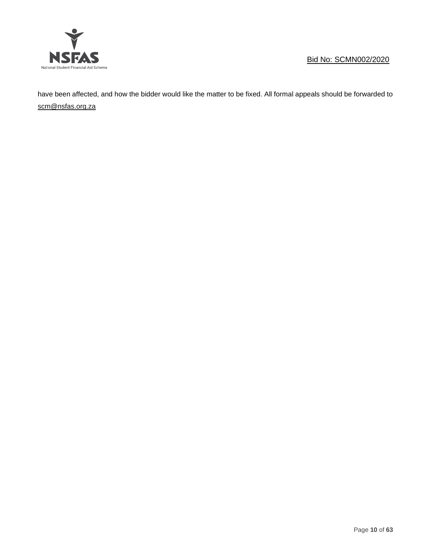

have been affected, and how the bidder would like the matter to be fixed. All formal appeals should be forwarded to [scm@nsfas.org.za](mailto:scm@nsfas.org.za)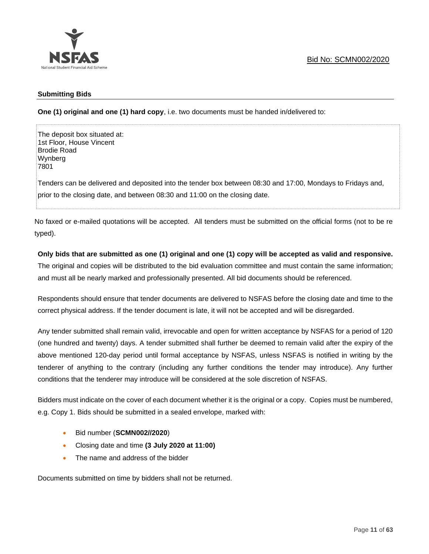

## **Submitting Bids**

**One (1) original and one (1) hard copy**, i.e. two documents must be handed in/delivered to:

The deposit box situated at: 1st Floor, House Vincent Brodie Road Wynberg 7801

Tenders can be delivered and deposited into the tender box between 08:30 and 17:00, Mondays to Fridays and, prior to the closing date, and between 08:30 and 11:00 on the closing date.

No faxed or e-mailed quotations will be accepted. All tenders must be submitted on the official forms (not to be re typed).

## **Only bids that are submitted as one (1) original and one (1) copy will be accepted as valid and responsive.**

The original and copies will be distributed to the bid evaluation committee and must contain the same information; and must all be nearly marked and professionally presented. All bid documents should be referenced.

Respondents should ensure that tender documents are delivered to NSFAS before the closing date and time to the correct physical address. If the tender document is late, it will not be accepted and will be disregarded.

Any tender submitted shall remain valid, irrevocable and open for written acceptance by NSFAS for a period of 120 (one hundred and twenty) days. A tender submitted shall further be deemed to remain valid after the expiry of the above mentioned 120-day period until formal acceptance by NSFAS, unless NSFAS is notified in writing by the tenderer of anything to the contrary (including any further conditions the tender may introduce). Any further conditions that the tenderer may introduce will be considered at the sole discretion of NSFAS.

Bidders must indicate on the cover of each document whether it is the original or a copy. Copies must be numbered, e.g. Copy 1. Bids should be submitted in a sealed envelope, marked with:

- Bid number (**SCMN002//2020**)
- Closing date and time **(3 July 2020 at 11:00)**
- The name and address of the bidder

Documents submitted on time by bidders shall not be returned.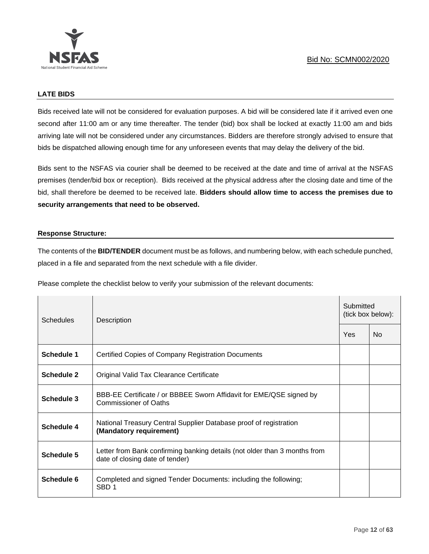

# **LATE BIDS**

Bids received late will not be considered for evaluation purposes. A bid will be considered late if it arrived even one second after 11:00 am or any time thereafter. The tender (bid) box shall be locked at exactly 11:00 am and bids arriving late will not be considered under any circumstances. Bidders are therefore strongly advised to ensure that bids be dispatched allowing enough time for any unforeseen events that may delay the delivery of the bid.

Bids sent to the NSFAS via courier shall be deemed to be received at the date and time of arrival at the NSFAS premises (tender/bid box or reception). Bids received at the physical address after the closing date and time of the bid, shall therefore be deemed to be received late. **Bidders should allow time to access the premises due to security arrangements that need to be observed.**

## **Response Structure:**

The contents of the **BID/TENDER** document must be as follows, and numbering below, with each schedule punched, placed in a file and separated from the next schedule with a file divider.

Please complete the checklist below to verify your submission of the relevant documents:

| <b>Schedules</b>  | Description                                                                                                  |     | Submitted<br>(tick box below): |  |  |
|-------------------|--------------------------------------------------------------------------------------------------------------|-----|--------------------------------|--|--|
|                   |                                                                                                              | Yes | No.                            |  |  |
| Schedule 1        | <b>Certified Copies of Company Registration Documents</b>                                                    |     |                                |  |  |
| <b>Schedule 2</b> | Original Valid Tax Clearance Certificate                                                                     |     |                                |  |  |
| Schedule 3        | BBB-EE Certificate / or BBBEE Sworn Affidavit for EME/QSE signed by<br>Commissioner of Oaths                 |     |                                |  |  |
| Schedule 4        | National Treasury Central Supplier Database proof of registration<br>(Mandatory requirement)                 |     |                                |  |  |
| Schedule 5        | Letter from Bank confirming banking details (not older than 3 months from<br>date of closing date of tender) |     |                                |  |  |
| Schedule 6        | Completed and signed Tender Documents: including the following;<br>SBD <sub>1</sub>                          |     |                                |  |  |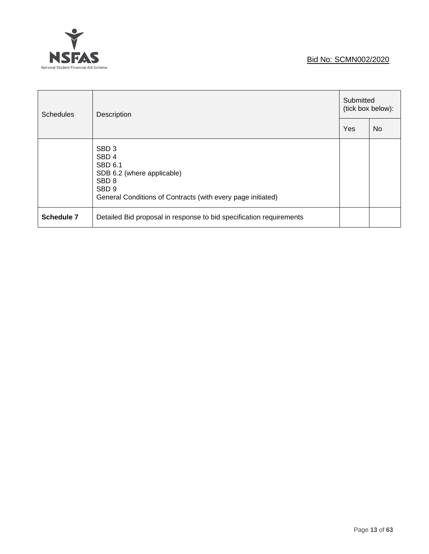# Ý **NSFAS** National Student Financial Aid Scheme

# Bid No: SCMN002/2020

| <b>Schedules</b>  | Description                                                                                                                                                                                 |     | Submitted<br>(tick box below): |  |  |
|-------------------|---------------------------------------------------------------------------------------------------------------------------------------------------------------------------------------------|-----|--------------------------------|--|--|
|                   |                                                                                                                                                                                             | Yes | <b>No</b>                      |  |  |
|                   | SBD <sub>3</sub><br>SBD <sub>4</sub><br><b>SBD 6.1</b><br>SDB 6.2 (where applicable)<br>SBD <sub>8</sub><br>SBD <sub>9</sub><br>General Conditions of Contracts (with every page initiated) |     |                                |  |  |
| <b>Schedule 7</b> | Detailed Bid proposal in response to bid specification requirements                                                                                                                         |     |                                |  |  |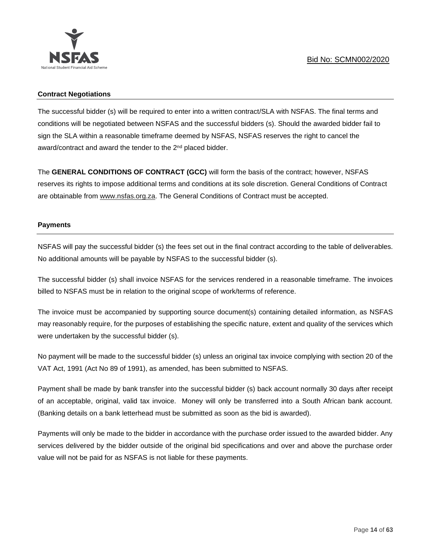# **Contract Negotiations**

The successful bidder (s) will be required to enter into a written contract/SLA with NSFAS. The final terms and conditions will be negotiated between NSFAS and the successful bidders (s). Should the awarded bidder fail to sign the SLA within a reasonable timeframe deemed by NSFAS, NSFAS reserves the right to cancel the award/contract and award the tender to the 2<sup>nd</sup> placed bidder.

The **GENERAL CONDITIONS OF CONTRACT (GCC)** will form the basis of the contract; however, NSFAS reserves its rights to impose additional terms and conditions at its sole discretion. General Conditions of Contract are obtainable from [www.nsfas.org.za.](http://www.nsfas.org.za/) The General Conditions of Contract must be accepted.

# **Payments**

NSFAS will pay the successful bidder (s) the fees set out in the final contract according to the table of deliverables. No additional amounts will be payable by NSFAS to the successful bidder (s).

The successful bidder (s) shall invoice NSFAS for the services rendered in a reasonable timeframe. The invoices billed to NSFAS must be in relation to the original scope of work/terms of reference.

The invoice must be accompanied by supporting source document(s) containing detailed information, as NSFAS may reasonably require, for the purposes of establishing the specific nature, extent and quality of the services which were undertaken by the successful bidder (s).

No payment will be made to the successful bidder (s) unless an original tax invoice complying with section 20 of the VAT Act, 1991 (Act No 89 of 1991), as amended, has been submitted to NSFAS.

Payment shall be made by bank transfer into the successful bidder (s) back account normally 30 days after receipt of an acceptable, original, valid tax invoice. Money will only be transferred into a South African bank account. (Banking details on a bank letterhead must be submitted as soon as the bid is awarded).

Payments will only be made to the bidder in accordance with the purchase order issued to the awarded bidder. Any services delivered by the bidder outside of the original bid specifications and over and above the purchase order value will not be paid for as NSFAS is not liable for these payments.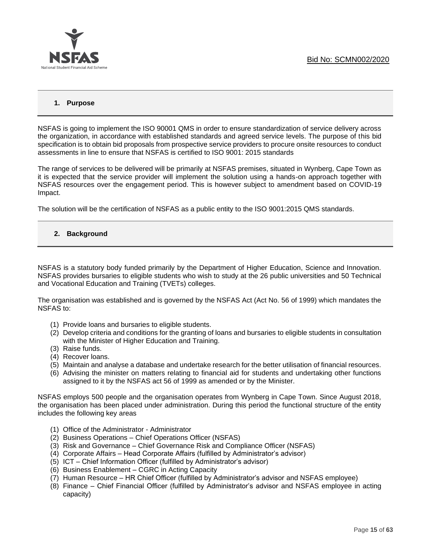

# **1. Purpose**

NSFAS is going to implement the ISO 90001 QMS in order to ensure standardization of service delivery across the organization, in accordance with established standards and agreed service levels. The purpose of this bid specification is to obtain bid proposals from prospective service providers to procure onsite resources to conduct assessments in line to ensure that NSFAS is certified to ISO 9001: 2015 standards

The range of services to be delivered will be primarily at NSFAS premises, situated in Wynberg, Cape Town as it is expected that the service provider will implement the solution using a hands-on approach together with NSFAS resources over the engagement period. This is however subject to amendment based on COVID-19 Impact.

The solution will be the certification of NSFAS as a public entity to the ISO 9001:2015 QMS standards.

## **2. Background**

NSFAS is a statutory body funded primarily by the Department of Higher Education, Science and Innovation. NSFAS provides bursaries to eligible students who wish to study at the 26 public universities and 50 Technical and Vocational Education and Training (TVETs) colleges.

The organisation was established and is governed by the NSFAS Act (Act No. 56 of 1999) which mandates the NSFAS to:

- (1) Provide loans and bursaries to eligible students.
- (2) Develop criteria and conditions for the granting of loans and bursaries to eligible students in consultation with the Minister of Higher Education and Training.
- (3) Raise funds.
- (4) Recover loans.
- (5) Maintain and analyse a database and undertake research for the better utilisation of financial resources.
- (6) Advising the minister on matters relating to financial aid for students and undertaking other functions assigned to it by the NSFAS act 56 of 1999 as amended or by the Minister.

NSFAS employs 500 people and the organisation operates from Wynberg in Cape Town. Since August 2018, the organisation has been placed under administration. During this period the functional structure of the entity includes the following key areas

- (1) Office of the Administrator Administrator
- (2) Business Operations Chief Operations Officer (NSFAS)
- (3) Risk and Governance Chief Governance Risk and Compliance Officer (NSFAS)
- (4) Corporate Affairs Head Corporate Affairs (fulfilled by Administrator's advisor)
- (5) ICT Chief Information Officer (fulfilled by Administrator's advisor)
- (6) Business Enablement CGRC in Acting Capacity
- (7) Human Resource HR Chief Officer (fulfilled by Administrator's advisor and NSFAS employee)
- (8) Finance Chief Financial Officer (fulfilled by Administrator's advisor and NSFAS employee in acting capacity)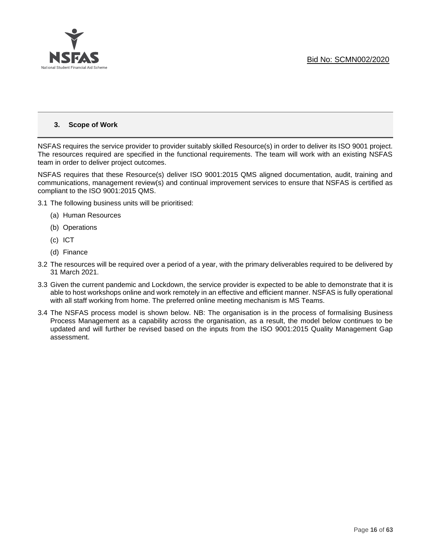

## **3. Scope of Work**

NSFAS requires the service provider to provider suitably skilled Resource(s) in order to deliver its ISO 9001 project. The resources required are specified in the functional requirements. The team will work with an existing NSFAS team in order to deliver project outcomes.

NSFAS requires that these Resource(s) deliver ISO 9001:2015 QMS aligned documentation, audit, training and communications, management review(s) and continual improvement services to ensure that NSFAS is certified as compliant to the ISO 9001:2015 QMS.

- 3.1 The following business units will be prioritised:
	- (a) Human Resources
	- (b) Operations
	- (c) ICT
	- (d) Finance
- 3.2 The resources will be required over a period of a year, with the primary deliverables required to be delivered by 31 March 2021.
- 3.3 Given the current pandemic and Lockdown, the service provider is expected to be able to demonstrate that it is able to host workshops online and work remotely in an effective and efficient manner. NSFAS is fully operational with all staff working from home. The preferred online meeting mechanism is MS Teams.
- 3.4 The NSFAS process model is shown below. NB: The organisation is in the process of formalising Business Process Management as a capability across the organisation, as a result, the model below continues to be updated and will further be revised based on the inputs from the ISO 9001:2015 Quality Management Gap assessment.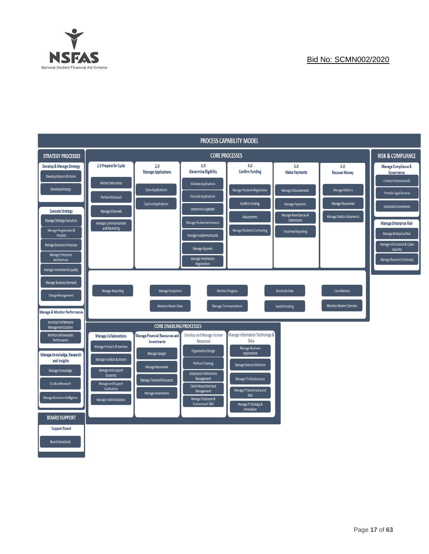

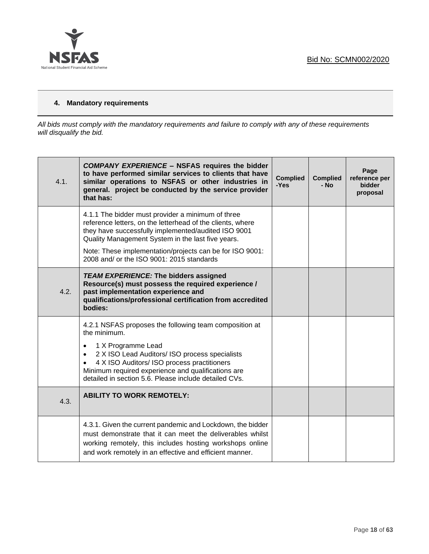

# **4. Mandatory requirements**

*All bids must comply with the mandatory requirements and failure to comply with any of these requirements will disqualify the bid.*

| 4.1. | <b>COMPANY EXPERIENCE - NSFAS requires the bidder</b><br>to have performed similar services to clients that have<br>similar operations to NSFAS or other industries in<br>general. project be conducted by the service provider<br>that has:                                                                                                        | <b>Complied</b><br>-Yes | <b>Complied</b><br>- No | Page<br>reference per<br>bidder<br>proposal |
|------|-----------------------------------------------------------------------------------------------------------------------------------------------------------------------------------------------------------------------------------------------------------------------------------------------------------------------------------------------------|-------------------------|-------------------------|---------------------------------------------|
|      | 4.1.1 The bidder must provider a minimum of three<br>reference letters, on the letterhead of the clients, where<br>they have successfully implemented/audited ISO 9001<br>Quality Management System in the last five years.<br>Note: These implementation/projects can be for ISO 9001:<br>2008 and/ or the ISO 9001: 2015 standards                |                         |                         |                                             |
| 4.2. | <b>TEAM EXPERIENCE: The bidders assigned</b><br>Resource(s) must possess the required experience /<br>past implementation experience and<br>qualifications/professional certification from accredited<br>bodies:                                                                                                                                    |                         |                         |                                             |
|      | 4.2.1 NSFAS proposes the following team composition at<br>the minimum.<br>1 X Programme Lead<br>$\bullet$<br>2 X ISO Lead Auditors/ ISO process specialists<br>$\bullet$<br>4 X ISO Auditors/ ISO process practitioners<br>$\bullet$<br>Minimum required experience and qualifications are<br>detailed in section 5.6. Please include detailed CVs. |                         |                         |                                             |
| 4.3. | <b>ABILITY TO WORK REMOTELY:</b>                                                                                                                                                                                                                                                                                                                    |                         |                         |                                             |
|      | 4.3.1. Given the current pandemic and Lockdown, the bidder<br>must demonstrate that it can meet the deliverables whilst<br>working remotely, this includes hosting workshops online<br>and work remotely in an effective and efficient manner.                                                                                                      |                         |                         |                                             |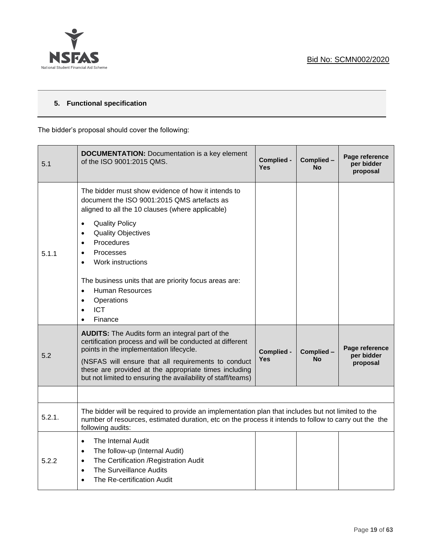

# **5. Functional specification**

The bidder's proposal should cover the following:

| 5.1    | <b>DOCUMENTATION:</b> Documentation is a key element<br>of the ISO 9001:2015 QMS.                                                                                                                                                                                                                                                             | Complied -<br><b>Yes</b> | Complied -<br><b>No</b> | Page reference<br>per bidder<br>proposal |
|--------|-----------------------------------------------------------------------------------------------------------------------------------------------------------------------------------------------------------------------------------------------------------------------------------------------------------------------------------------------|--------------------------|-------------------------|------------------------------------------|
|        | The bidder must show evidence of how it intends to<br>document the ISO 9001:2015 QMS artefacts as<br>aligned to all the 10 clauses (where applicable)                                                                                                                                                                                         |                          |                         |                                          |
| 5.1.1  | <b>Quality Policy</b><br>$\bullet$<br><b>Quality Objectives</b><br>$\bullet$<br>Procedures<br>$\bullet$<br><b>Processes</b><br>$\bullet$<br>Work instructions<br>$\bullet$                                                                                                                                                                    |                          |                         |                                          |
|        | The business units that are priority focus areas are:<br><b>Human Resources</b><br>$\bullet$<br>Operations<br>$\bullet$<br><b>ICT</b><br>$\bullet$<br>Finance<br>$\bullet$                                                                                                                                                                    |                          |                         |                                          |
| 5.2    | <b>AUDITS:</b> The Audits form an integral part of the<br>certification process and will be conducted at different<br>points in the implementation lifecycle.<br>(NSFAS will ensure that all requirements to conduct<br>these are provided at the appropriate times including<br>but not limited to ensuring the availability of staff/teams) | Complied -<br>Yes        | Complied-<br><b>No</b>  | Page reference<br>per bidder<br>proposal |
|        |                                                                                                                                                                                                                                                                                                                                               |                          |                         |                                          |
| 5.2.1. | The bidder will be required to provide an implementation plan that includes but not limited to the<br>number of resources, estimated duration, etc on the process it intends to follow to carry out the the<br>following audits:                                                                                                              |                          |                         |                                          |
| 5.2.2  | The Internal Audit<br>$\bullet$<br>The follow-up (Internal Audit)<br>$\bullet$<br>The Certification / Registration Audit<br>$\bullet$<br>The Surveillance Audits<br>$\bullet$<br>The Re-certification Audit<br>$\bullet$                                                                                                                      |                          |                         |                                          |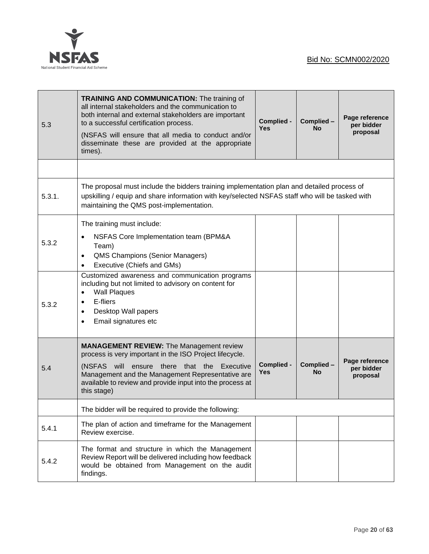

| 5.3    | <b>TRAINING AND COMMUNICATION: The training of</b><br>all internal stakeholders and the communication to<br>both internal and external stakeholders are important<br>to a successful certification process.<br>(NSFAS will ensure that all media to conduct and/or<br>disseminate these are provided at the appropriate<br>times). | Complied -<br><b>Yes</b> | Complied -<br><b>No</b> | Page reference<br>per bidder<br>proposal |
|--------|------------------------------------------------------------------------------------------------------------------------------------------------------------------------------------------------------------------------------------------------------------------------------------------------------------------------------------|--------------------------|-------------------------|------------------------------------------|
|        |                                                                                                                                                                                                                                                                                                                                    |                          |                         |                                          |
| 5.3.1. | The proposal must include the bidders training implementation plan and detailed process of<br>upskilling / equip and share information with key/selected NSFAS staff who will be tasked with<br>maintaining the QMS post-implementation.                                                                                           |                          |                         |                                          |
| 5.3.2  | The training must include:<br>NSFAS Core Implementation team (BPM&A<br>$\bullet$<br>Team)<br><b>QMS Champions (Senior Managers)</b><br>$\bullet$<br>Executive (Chiefs and GMs)<br>٠                                                                                                                                                |                          |                         |                                          |
| 5.3.2  | Customized awareness and communication programs<br>including but not limited to advisory on content for<br><b>Wall Plaques</b><br>$\bullet$<br>E-fliers<br>$\bullet$<br>Desktop Wall papers<br>$\bullet$<br>Email signatures etc<br>$\bullet$                                                                                      |                          |                         |                                          |
| 5.4    | <b>MANAGEMENT REVIEW: The Management review</b><br>process is very important in the ISO Project lifecycle.<br>the<br>(NSFAS will<br>ensure<br>there<br>that<br>Executive<br>Management and the Management Representative are<br>available to review and provide input into the process at<br>this stage)                           | Complied -<br>Yes        | Complied -<br><b>No</b> | Page reference<br>per bidder<br>proposal |
|        | The bidder will be required to provide the following:                                                                                                                                                                                                                                                                              |                          |                         |                                          |
| 5.4.1  | The plan of action and timeframe for the Management<br>Review exercise.                                                                                                                                                                                                                                                            |                          |                         |                                          |
| 5.4.2  | The format and structure in which the Management<br>Review Report will be delivered including how feedback<br>would be obtained from Management on the audit<br>findings.                                                                                                                                                          |                          |                         |                                          |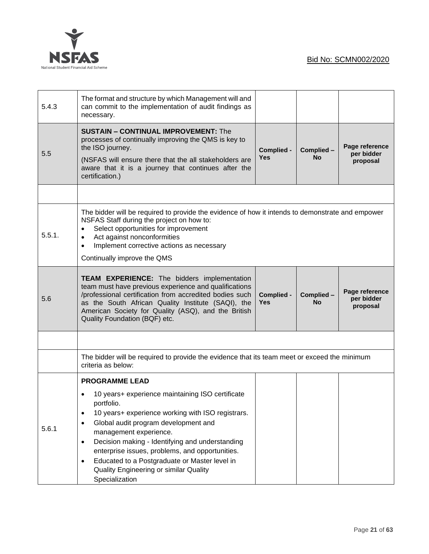

| 5.4.3  | The format and structure by which Management will and<br>can commit to the implementation of audit findings as<br>necessary.                                                                                                                                                                                                                                                                                 |                   |                        |                                          |
|--------|--------------------------------------------------------------------------------------------------------------------------------------------------------------------------------------------------------------------------------------------------------------------------------------------------------------------------------------------------------------------------------------------------------------|-------------------|------------------------|------------------------------------------|
| 5.5    | <b>SUSTAIN - CONTINUAL IMPROVEMENT: The</b><br>processes of continually improving the QMS is key to<br>the ISO journey.<br>(NSFAS will ensure there that the all stakeholders are<br>aware that it is a journey that continues after the<br>certification.)                                                                                                                                                  |                   | Complied-<br>No        | Page reference<br>per bidder<br>proposal |
|        |                                                                                                                                                                                                                                                                                                                                                                                                              |                   |                        |                                          |
| 5.5.1. | The bidder will be required to provide the evidence of how it intends to demonstrate and empower<br>NSFAS Staff during the project on how to:<br>Select opportunities for improvement<br>٠<br>Act against nonconformities<br>$\bullet$<br>Implement corrective actions as necessary<br>$\bullet$<br>Continually improve the QMS                                                                              |                   |                        |                                          |
| 5.6    | <b>TEAM EXPERIENCE:</b> The bidders implementation<br>team must have previous experience and qualifications<br>/professional certification from accredited bodies such<br>as the South African Quality Institute (SAQI), the<br>American Society for Quality (ASQ), and the British<br>Quality Foundation (BQF) etc.                                                                                         | Complied -<br>Yes | Complied-<br><b>No</b> | Page reference<br>per bidder<br>proposal |
|        |                                                                                                                                                                                                                                                                                                                                                                                                              |                   |                        |                                          |
|        | The bidder will be required to provide the evidence that its team meet or exceed the minimum<br>criteria as below:                                                                                                                                                                                                                                                                                           |                   |                        |                                          |
| 5.6.1  | <b>PROGRAMME LEAD</b><br>10 years+ experience maintaining ISO certificate<br>portfolio.<br>10 years+ experience working with ISO registrars.<br>$\bullet$<br>Global audit program development and<br>$\bullet$<br>management experience.<br>Decision making - Identifying and understanding<br>$\bullet$<br>enterprise issues, problems, and opportunities.<br>Educated to a Postgraduate or Master level in |                   |                        |                                          |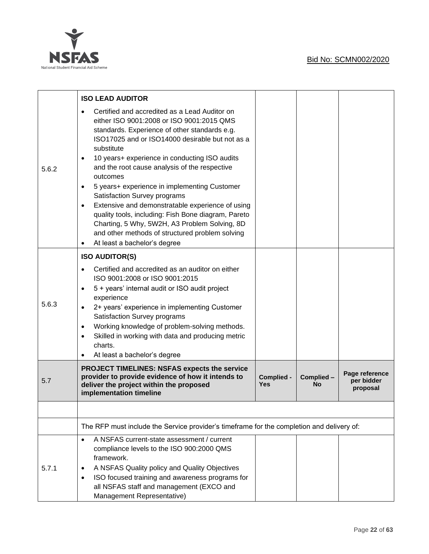

|       | <b>ISO LEAD AUDITOR</b>                                                                                                                                                                                                                                                                                                                                                                                                                                                                                                                                                                                                                                                                                            |                   |                 |                                          |  |
|-------|--------------------------------------------------------------------------------------------------------------------------------------------------------------------------------------------------------------------------------------------------------------------------------------------------------------------------------------------------------------------------------------------------------------------------------------------------------------------------------------------------------------------------------------------------------------------------------------------------------------------------------------------------------------------------------------------------------------------|-------------------|-----------------|------------------------------------------|--|
| 5.6.2 | Certified and accredited as a Lead Auditor on<br>$\bullet$<br>either ISO 9001:2008 or ISO 9001:2015 QMS<br>standards. Experience of other standards e.g.<br>ISO17025 and or ISO14000 desirable but not as a<br>substitute<br>10 years+ experience in conducting ISO audits<br>$\bullet$<br>and the root cause analysis of the respective<br>outcomes<br>5 years+ experience in implementing Customer<br>٠<br>Satisfaction Survey programs<br>Extensive and demonstratable experience of using<br>$\bullet$<br>quality tools, including: Fish Bone diagram, Pareto<br>Charting, 5 Why, 5W2H, A3 Problem Solving, 8D<br>and other methods of structured problem solving<br>At least a bachelor's degree<br>$\bullet$ |                   |                 |                                          |  |
|       | <b>ISO AUDITOR(S)</b>                                                                                                                                                                                                                                                                                                                                                                                                                                                                                                                                                                                                                                                                                              |                   |                 |                                          |  |
| 5.6.3 | Certified and accredited as an auditor on either<br>ISO 9001:2008 or ISO 9001:2015<br>5 + years' internal audit or ISO audit project<br>$\bullet$<br>experience<br>2+ years' experience in implementing Customer<br>$\bullet$<br>Satisfaction Survey programs<br>Working knowledge of problem-solving methods.<br>$\bullet$<br>Skilled in working with data and producing metric<br>$\bullet$<br>charts.<br>At least a bachelor's degree<br>٠                                                                                                                                                                                                                                                                      |                   |                 |                                          |  |
| 5.7   | <b>PROJECT TIMELINES: NSFAS expects the service</b><br>provider to provide evidence of how it intends to<br>deliver the project within the proposed<br>implementation timeline                                                                                                                                                                                                                                                                                                                                                                                                                                                                                                                                     | Complied -<br>Yes | Complied-<br>No | Page reference<br>per bidder<br>proposal |  |
|       |                                                                                                                                                                                                                                                                                                                                                                                                                                                                                                                                                                                                                                                                                                                    |                   |                 |                                          |  |
|       | The RFP must include the Service provider's timeframe for the completion and delivery of:                                                                                                                                                                                                                                                                                                                                                                                                                                                                                                                                                                                                                          |                   |                 |                                          |  |
| 5.7.1 | A NSFAS current-state assessment / current<br>$\bullet$<br>compliance levels to the ISO 900:2000 QMS<br>framework.<br>A NSFAS Quality policy and Quality Objectives<br>٠<br>ISO focused training and awareness programs for<br>٠<br>all NSFAS staff and management (EXCO and<br>Management Representative)                                                                                                                                                                                                                                                                                                                                                                                                         |                   |                 |                                          |  |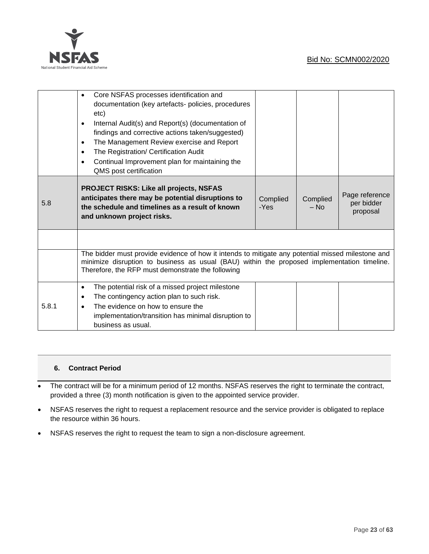

|       | Core NSFAS processes identification and<br>documentation (key artefacts- policies, procedures<br>etc)<br>Internal Audit(s) and Report(s) (documentation of<br>$\bullet$<br>findings and corrective actions taken/suggested)<br>The Management Review exercise and Report<br>$\bullet$<br>The Registration/ Certification Audit<br>٠<br>Continual Improvement plan for maintaining the<br>٠<br>QMS post certification |  |                  |                                          |
|-------|----------------------------------------------------------------------------------------------------------------------------------------------------------------------------------------------------------------------------------------------------------------------------------------------------------------------------------------------------------------------------------------------------------------------|--|------------------|------------------------------------------|
| 5.8   | <b>PROJECT RISKS: Like all projects, NSFAS</b><br>anticipates there may be potential disruptions to<br>the schedule and timelines as a result of known<br>and unknown project risks.                                                                                                                                                                                                                                 |  | Complied<br>– No | Page reference<br>per bidder<br>proposal |
|       |                                                                                                                                                                                                                                                                                                                                                                                                                      |  |                  |                                          |
|       | The bidder must provide evidence of how it intends to mitigate any potential missed milestone and<br>minimize disruption to business as usual (BAU) within the proposed implementation timeline.<br>Therefore, the RFP must demonstrate the following                                                                                                                                                                |  |                  |                                          |
| 5.8.1 | The potential risk of a missed project milestone<br>$\bullet$<br>The contingency action plan to such risk.<br>$\bullet$<br>The evidence on how to ensure the<br>implementation/transition has minimal disruption to<br>business as usual.                                                                                                                                                                            |  |                  |                                          |

# **6. Contract Period**

- The contract will be for a minimum period of 12 months. NSFAS reserves the right to terminate the contract, provided a three (3) month notification is given to the appointed service provider.
- NSFAS reserves the right to request a replacement resource and the service provider is obligated to replace the resource within 36 hours.
- NSFAS reserves the right to request the team to sign a non-disclosure agreement.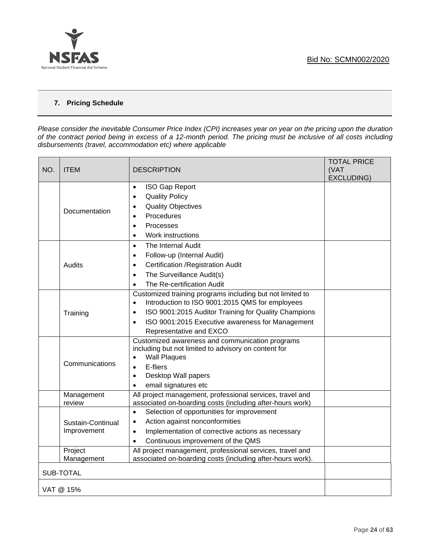

# **7. Pricing Schedule**

*Please consider the inevitable Consumer Price Index (CPI) increases year on year on the pricing upon the duration of the contract period being in excess of a 12-month period. The pricing must be inclusive of all costs including disbursements (travel, accommodation etc) where applicable*

| NO. | <b>ITEM</b>                      | <b>DESCRIPTION</b>                                                                                                                                                                                                                                                                         | <b>TOTAL PRICE</b><br>(VAT<br>EXCLUDING) |
|-----|----------------------------------|--------------------------------------------------------------------------------------------------------------------------------------------------------------------------------------------------------------------------------------------------------------------------------------------|------------------------------------------|
|     | Documentation                    | <b>ISO Gap Report</b><br>$\bullet$<br><b>Quality Policy</b><br>$\bullet$<br><b>Quality Objectives</b><br>$\bullet$<br>Procedures<br>$\bullet$<br>Processes<br>$\bullet$<br>Work instructions<br>$\bullet$                                                                                  |                                          |
|     | Audits                           | The Internal Audit<br>$\bullet$<br>Follow-up (Internal Audit)<br>$\bullet$<br>Certification / Registration Audit<br>$\bullet$<br>The Surveillance Audit(s)<br>$\bullet$<br>The Re-certification Audit<br>$\bullet$                                                                         |                                          |
|     | Training                         | Customized training programs including but not limited to<br>Introduction to ISO 9001:2015 QMS for employees<br>$\bullet$<br>ISO 9001:2015 Auditor Training for Quality Champions<br>$\bullet$<br>ISO 9001:2015 Executive awareness for Management<br>$\bullet$<br>Representative and EXCO |                                          |
|     | Communications                   | Customized awareness and communication programs<br>including but not limited to advisory on content for<br><b>Wall Plaques</b><br>$\bullet$<br>E-fliers<br>$\bullet$<br>Desktop Wall papers<br>$\bullet$<br>email signatures etc<br>$\bullet$                                              |                                          |
|     | Management<br>review             | All project management, professional services, travel and<br>associated on-boarding costs (including after-hours work)                                                                                                                                                                     |                                          |
|     | Sustain-Continual<br>Improvement | Selection of opportunities for improvement<br>$\bullet$<br>Action against nonconformities<br>$\bullet$<br>Implementation of corrective actions as necessary<br>$\bullet$<br>Continuous improvement of the QMS<br>$\bullet$                                                                 |                                          |
|     | Project<br>Management            | All project management, professional services, travel and<br>associated on-boarding costs (including after-hours work).                                                                                                                                                                    |                                          |
|     | <b>SUB-TOTAL</b>                 |                                                                                                                                                                                                                                                                                            |                                          |
|     | VAT @ 15%                        |                                                                                                                                                                                                                                                                                            |                                          |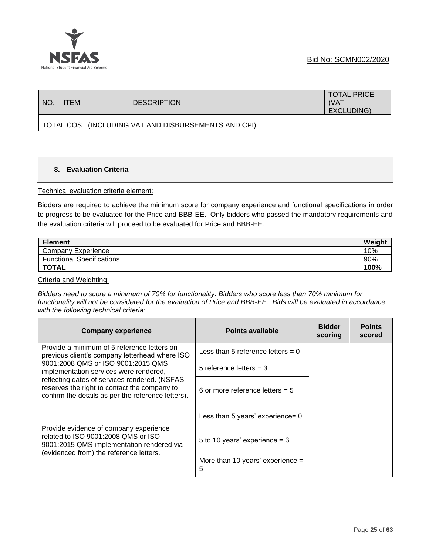

| NO.                                                  | TEM | <b>DESCRIPTION</b> | <b>TOTAL PRICE</b><br>(VAT<br>EXCLUDING) |
|------------------------------------------------------|-----|--------------------|------------------------------------------|
| TOTAL COST (INCLUDING VAT AND DISBURSEMENTS AND CPI) |     |                    |                                          |

# **8. Evaluation Criteria**

#### Technical evaluation criteria element:

Bidders are required to achieve the minimum score for company experience and functional specifications in order to progress to be evaluated for the Price and BBB-EE. Only bidders who passed the mandatory requirements and the evaluation criteria will proceed to be evaluated for Price and BBB-EE.

| <b>Element</b>                   | Weight |
|----------------------------------|--------|
| Company Experience               | 10%    |
| <b>Functional Specifications</b> | 90%    |
| <b>TOTAL</b>                     | 100%   |

Criteria and Weighting:

*Bidders need to score a minimum of 70% for functionality. Bidders who score less than 70% minimum for functionality will not be considered for the evaluation of Price and BBB-EE. Bids will be evaluated in accordance with the following technical criteria:*

| <b>Company experience</b>                                                                                                                           | Points available                        | <b>Bidder</b><br>scoring | <b>Points</b><br>scored |
|-----------------------------------------------------------------------------------------------------------------------------------------------------|-----------------------------------------|--------------------------|-------------------------|
| Provide a minimum of 5 reference letters on<br>previous client's company letterhead where ISO                                                       | Less than 5 reference letters $= 0$     |                          |                         |
| 9001:2008 QMS or ISO 9001:2015 QMS<br>implementation services were rendered,                                                                        | 5 reference letters $=$ 3               |                          |                         |
| reflecting dates of services rendered. (NSFAS<br>reserves the right to contact the company to<br>confirm the details as per the reference letters). | 6 or more reference letters $= 5$       |                          |                         |
|                                                                                                                                                     | Less than 5 years' experience= 0        |                          |                         |
| Provide evidence of company experience<br>related to ISO 9001:2008 OMS or ISO<br>9001:2015 QMS implementation rendered via                          | 5 to 10 years' experience = $3$         |                          |                         |
| (evidenced from) the reference letters.                                                                                                             | More than 10 years' experience $=$<br>5 |                          |                         |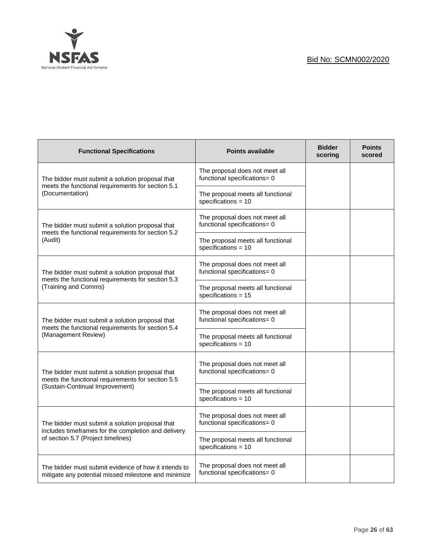

| <b>Functional Specifications</b>                                                                             | <b>Points available</b>                                        | <b>Bidder</b><br>scoring | <b>Points</b><br>scored |
|--------------------------------------------------------------------------------------------------------------|----------------------------------------------------------------|--------------------------|-------------------------|
| The bidder must submit a solution proposal that                                                              | The proposal does not meet all<br>functional specifications= 0 |                          |                         |
| meets the functional requirements for section 5.1<br>(Documentation)                                         | The proposal meets all functional<br>specifications = $10$     |                          |                         |
| The bidder must submit a solution proposal that<br>meets the functional requirements for section 5.2         | The proposal does not meet all<br>functional specifications= 0 |                          |                         |
| (Audit)                                                                                                      | The proposal meets all functional<br>specifications = $10$     |                          |                         |
| The bidder must submit a solution proposal that                                                              | The proposal does not meet all<br>functional specifications= 0 |                          |                         |
| meets the functional requirements for section 5.3<br>(Training and Comms)                                    | The proposal meets all functional<br>specifications = $15$     |                          |                         |
| The bidder must submit a solution proposal that<br>meets the functional requirements for section 5.4         | The proposal does not meet all<br>functional specifications= 0 |                          |                         |
| (Management Review)                                                                                          | The proposal meets all functional<br>specifications = $10$     |                          |                         |
| The bidder must submit a solution proposal that<br>meets the functional requirements for section 5.5         | The proposal does not meet all<br>functional specifications= 0 |                          |                         |
| (Sustain-Continual Improvement)                                                                              | The proposal meets all functional<br>specifications = $10$     |                          |                         |
| The bidder must submit a solution proposal that                                                              | The proposal does not meet all<br>functional specifications= 0 |                          |                         |
| includes timeframes for the completion and delivery<br>of section 5.7 (Project timelines)                    | The proposal meets all functional<br>specifications = $10$     |                          |                         |
| The bidder must submit evidence of how it intends to<br>mitigate any potential missed milestone and minimize | The proposal does not meet all<br>functional specifications= 0 |                          |                         |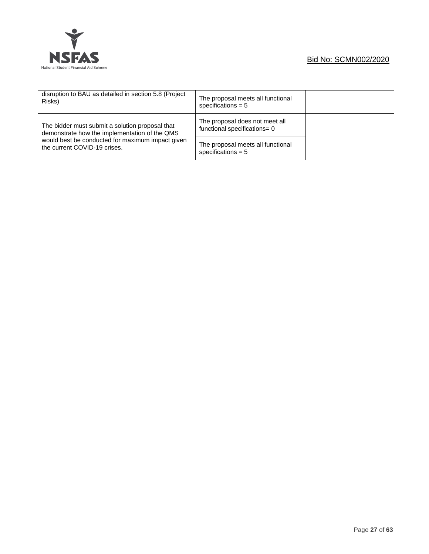

| disruption to BAU as detailed in section 5.8 (Project<br>Risks)                                  | The proposal meets all functional<br>specifications $= 5$      |  |
|--------------------------------------------------------------------------------------------------|----------------------------------------------------------------|--|
| The bidder must submit a solution proposal that<br>demonstrate how the implementation of the QMS | The proposal does not meet all<br>functional specifications= 0 |  |
| would best be conducted for maximum impact given<br>the current COVID-19 crises.                 | The proposal meets all functional<br>specifications $= 5$      |  |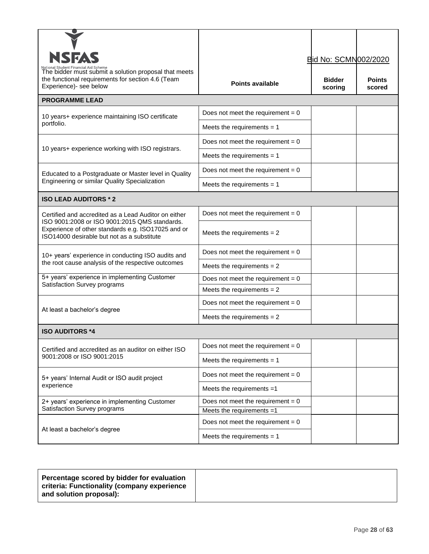| <b>NSFAS</b>                                                                                                                                      |                                     | <b>Bid No: SCMN002/2020</b> |                         |
|---------------------------------------------------------------------------------------------------------------------------------------------------|-------------------------------------|-----------------------------|-------------------------|
| The bidder must submit a solution proposal that meets<br>the functional requirements for section 4.6 (Team<br>Experience)- see below              | <b>Points available</b>             | <b>Bidder</b><br>scoring    | <b>Points</b><br>scored |
| <b>PROGRAMME LEAD</b>                                                                                                                             |                                     |                             |                         |
| 10 years+ experience maintaining ISO certificate                                                                                                  | Does not meet the requirement $= 0$ |                             |                         |
| portfolio.                                                                                                                                        | Meets the requirements $= 1$        |                             |                         |
|                                                                                                                                                   | Does not meet the requirement = $0$ |                             |                         |
| 10 years+ experience working with ISO registrars.                                                                                                 | Meets the requirements $= 1$        |                             |                         |
| Educated to a Postgraduate or Master level in Quality                                                                                             | Does not meet the requirement = $0$ |                             |                         |
| Engineering or similar Quality Specialization                                                                                                     | Meets the requirements $= 1$        |                             |                         |
| <b>ISO LEAD AUDITORS * 2</b>                                                                                                                      |                                     |                             |                         |
| Certified and accredited as a Lead Auditor on either                                                                                              | Does not meet the requirement = $0$ |                             |                         |
| ISO 9001:2008 or ISO 9001:2015 QMS standards.<br>Experience of other standards e.g. ISO17025 and or<br>ISO14000 desirable but not as a substitute | Meets the requirements $= 2$        |                             |                         |
| 10+ years' experience in conducting ISO audits and                                                                                                | Does not meet the requirement = $0$ |                             |                         |
| the root cause analysis of the respective outcomes                                                                                                | Meets the requirements $= 2$        |                             |                         |
| 5+ years' experience in implementing Customer<br>Satisfaction Survey programs                                                                     | Does not meet the requirement = $0$ |                             |                         |
|                                                                                                                                                   | Meets the requirements $= 2$        |                             |                         |
| At least a bachelor's degree                                                                                                                      | Does not meet the requirement = $0$ |                             |                         |
|                                                                                                                                                   | Meets the requirements $= 2$        |                             |                         |
| <b>ISO AUDITORS *4</b>                                                                                                                            |                                     |                             |                         |
| Certified and accredited as an auditor on either ISO                                                                                              | Does not meet the requirement = $0$ |                             |                         |
| 9001:2008 or ISO 9001:2015                                                                                                                        | Meets the requirements $= 1$        |                             |                         |
| 5+ years' Internal Audit or ISO audit project                                                                                                     | Does not meet the requirement = $0$ |                             |                         |
| experience                                                                                                                                        | Meets the requirements $=1$         |                             |                         |
| 2+ years' experience in implementing Customer                                                                                                     | Does not meet the requirement = $0$ |                             |                         |
| Satisfaction Survey programs                                                                                                                      | Meets the requirements =1           |                             |                         |
| At least a bachelor's degree                                                                                                                      | Does not meet the requirement = $0$ |                             |                         |
|                                                                                                                                                   | Meets the requirements $= 1$        |                             |                         |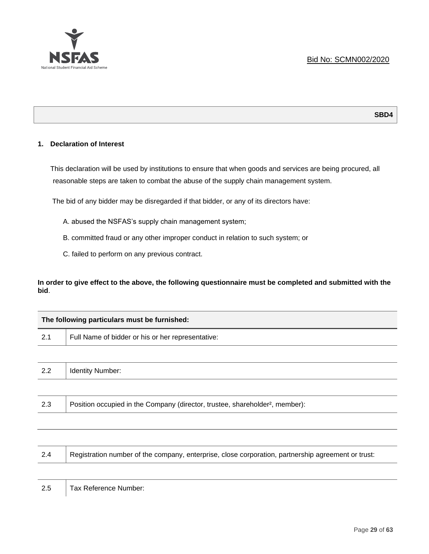

#### **SBD4**

## **1. Declaration of Interest**

This declaration will be used by institutions to ensure that when goods and services are being procured, all reasonable steps are taken to combat the abuse of the supply chain management system.

The bid of any bidder may be disregarded if that bidder, or any of its directors have:

A. abused the NSFAS's supply chain management system;

- B. committed fraud or any other improper conduct in relation to such system; or
- C. failed to perform on any previous contract.

**In order to give effect to the above, the following questionnaire must be completed and submitted with the bid**.

| The following particulars must be furnished:      |  |  |
|---------------------------------------------------|--|--|
| Full Name of bidder or his or her representative: |  |  |
|                                                   |  |  |
| <b>Identity Number:</b>                           |  |  |
|                                                   |  |  |
|                                                   |  |  |

2.3 Position occupied in the Company (director, trustee, shareholder<sup>2</sup>, member):

| 2.4 | Registration number of the company, enterprise, close corporation, partnership agreement or trust: |
|-----|----------------------------------------------------------------------------------------------------|
|     |                                                                                                    |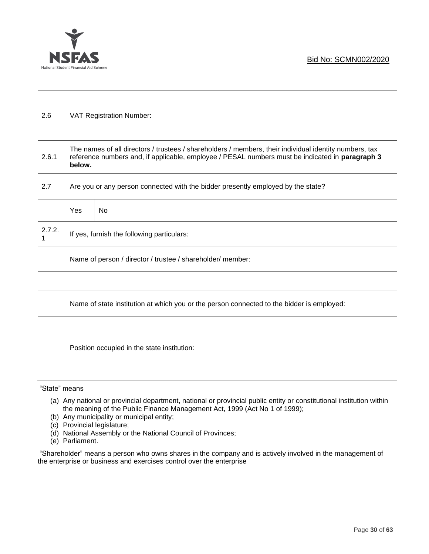

| 2.6    |                                                                                  | VAT Registration Number: |                                                                                                                                                                                                           |  |
|--------|----------------------------------------------------------------------------------|--------------------------|-----------------------------------------------------------------------------------------------------------------------------------------------------------------------------------------------------------|--|
|        |                                                                                  |                          |                                                                                                                                                                                                           |  |
| 2.6.1  | below.                                                                           |                          | The names of all directors / trustees / shareholders / members, their individual identity numbers, tax<br>reference numbers and, if applicable, employee / PESAL numbers must be indicated in paragraph 3 |  |
| 2.7    | Are you or any person connected with the bidder presently employed by the state? |                          |                                                                                                                                                                                                           |  |
|        | Yes                                                                              | No.                      |                                                                                                                                                                                                           |  |
| 2.7.2. | If yes, furnish the following particulars:                                       |                          |                                                                                                                                                                                                           |  |
|        |                                                                                  |                          | Name of person / director / trustee / shareholder/ member:                                                                                                                                                |  |

|  | Name of state institution at which you or the person connected to the bidder is employed: |
|--|-------------------------------------------------------------------------------------------|
|--|-------------------------------------------------------------------------------------------|

Position occupied in the state institution:

"State" means

- (a) Any national or provincial department, national or provincial public entity or constitutional institution within the meaning of the Public Finance Management Act, 1999 (Act No 1 of 1999);
- (b) Any municipality or municipal entity;
- (c) Provincial legislature;
- (d) National Assembly or the National Council of Provinces;
- (e) Parliament.

"Shareholder" means a person who owns shares in the company and is actively involved in the management of the enterprise or business and exercises control over the enterprise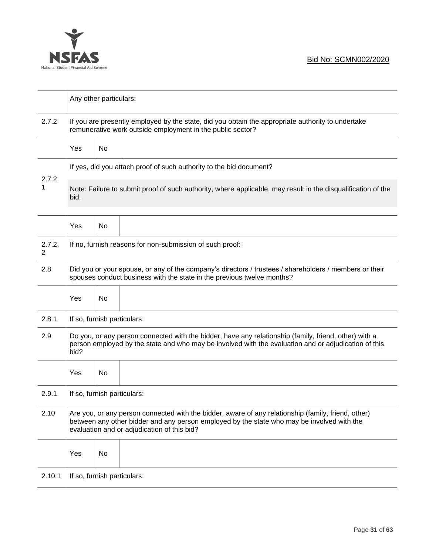

|             |                                                                                                                                                                                                                                                  | Any other particulars:      |                                                                                                                                                                 |  |
|-------------|--------------------------------------------------------------------------------------------------------------------------------------------------------------------------------------------------------------------------------------------------|-----------------------------|-----------------------------------------------------------------------------------------------------------------------------------------------------------------|--|
| 2.7.2       |                                                                                                                                                                                                                                                  |                             | If you are presently employed by the state, did you obtain the appropriate authority to undertake<br>remunerative work outside employment in the public sector? |  |
|             | Yes                                                                                                                                                                                                                                              | No                          |                                                                                                                                                                 |  |
|             |                                                                                                                                                                                                                                                  |                             | If yes, did you attach proof of such authority to the bid document?                                                                                             |  |
| 2.7.2.<br>1 | Note: Failure to submit proof of such authority, where applicable, may result in the disqualification of the<br>bid.                                                                                                                             |                             |                                                                                                                                                                 |  |
|             | Yes                                                                                                                                                                                                                                              | No                          |                                                                                                                                                                 |  |
| 2.7.2.<br>2 |                                                                                                                                                                                                                                                  |                             | If no, furnish reasons for non-submission of such proof:                                                                                                        |  |
| 2.8         | Did you or your spouse, or any of the company's directors / trustees / shareholders / members or their<br>spouses conduct business with the state in the previous twelve months?                                                                 |                             |                                                                                                                                                                 |  |
|             | Yes                                                                                                                                                                                                                                              | No                          |                                                                                                                                                                 |  |
| 2.8.1       |                                                                                                                                                                                                                                                  | If so, furnish particulars: |                                                                                                                                                                 |  |
| 2.9         | Do you, or any person connected with the bidder, have any relationship (family, friend, other) with a<br>person employed by the state and who may be involved with the evaluation and or adjudication of this<br>bid?                            |                             |                                                                                                                                                                 |  |
|             | Yes                                                                                                                                                                                                                                              | No                          |                                                                                                                                                                 |  |
| 2.9.1       | If so, furnish particulars:                                                                                                                                                                                                                      |                             |                                                                                                                                                                 |  |
| 2.10        | Are you, or any person connected with the bidder, aware of any relationship (family, friend, other)<br>between any other bidder and any person employed by the state who may be involved with the<br>evaluation and or adjudication of this bid? |                             |                                                                                                                                                                 |  |
|             | Yes                                                                                                                                                                                                                                              | No                          |                                                                                                                                                                 |  |
| 2.10.1      |                                                                                                                                                                                                                                                  | If so, furnish particulars: |                                                                                                                                                                 |  |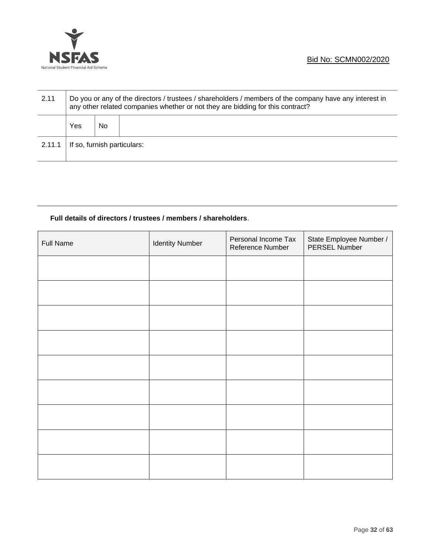

| 2.11   | Do you or any of the directors / trustees / shareholders / members of the company have any interest in<br>any other related companies whether or not they are bidding for this contract? |     |  |  |
|--------|------------------------------------------------------------------------------------------------------------------------------------------------------------------------------------------|-----|--|--|
|        | Yes                                                                                                                                                                                      | No. |  |  |
| 2.11.1 | If so, furnish particulars:                                                                                                                                                              |     |  |  |

# **Full details of directors / trustees / members / shareholders**.

| <b>Full Name</b> | <b>Identity Number</b> | Personal Income Tax<br>Reference Number | State Employee Number /<br>PERSEL Number |
|------------------|------------------------|-----------------------------------------|------------------------------------------|
|                  |                        |                                         |                                          |
|                  |                        |                                         |                                          |
|                  |                        |                                         |                                          |
|                  |                        |                                         |                                          |
|                  |                        |                                         |                                          |
|                  |                        |                                         |                                          |
|                  |                        |                                         |                                          |
|                  |                        |                                         |                                          |
|                  |                        |                                         |                                          |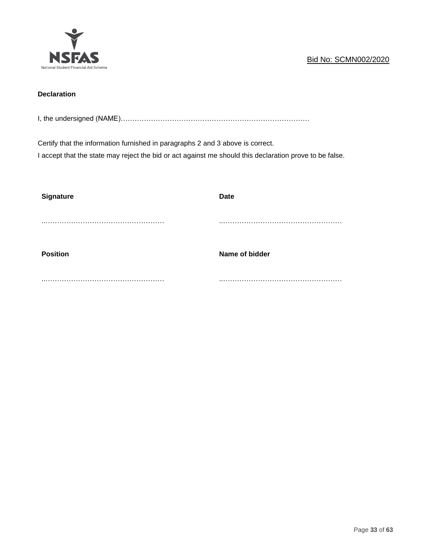

# **Declaration**

I, the undersigned (NAME)………………………………………………………………………

Certify that the information furnished in paragraphs 2 and 3 above is correct.

I accept that the state may reject the bid or act against me should this declaration prove to be false.

| <b>Signature</b> | <b>Date</b>    |
|------------------|----------------|
|                  |                |
|                  |                |
|                  |                |
| <b>Position</b>  | Name of bidder |
|                  |                |
|                  |                |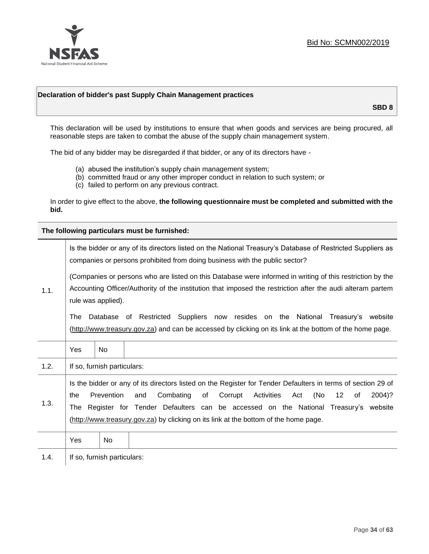

## **Declaration of bidder's past Supply Chain Management practices**

**SBD 8**

This declaration will be used by institutions to ensure that when goods and services are being procured, all reasonable steps are taken to combat the abuse of the supply chain management system.

The bid of any bidder may be disregarded if that bidder, or any of its directors have -

- (a) abused the institution's supply chain management system;
- (b) committed fraud or any other improper conduct in relation to such system; or
- (c) failed to perform on any previous contract.

In order to give effect to the above, **the following questionnaire must be completed and submitted with the bid.**

**The following particulars must be furnished:**

|      |                                                                                                                                                                                                                                               |                             | Is the bidder or any of its directors listed on the National Treasury's Database of Restricted Suppliers as<br>companies or persons prohibited from doing business with the public sector?                                                                                                                                                                                           |  |  |
|------|-----------------------------------------------------------------------------------------------------------------------------------------------------------------------------------------------------------------------------------------------|-----------------------------|--------------------------------------------------------------------------------------------------------------------------------------------------------------------------------------------------------------------------------------------------------------------------------------------------------------------------------------------------------------------------------------|--|--|
| 1.1. | (Companies or persons who are listed on this Database were informed in writing of this restriction by the<br>Accounting Officer/Authority of the institution that imposed the restriction after the audi alteram partem<br>rule was applied). |                             |                                                                                                                                                                                                                                                                                                                                                                                      |  |  |
|      | The                                                                                                                                                                                                                                           |                             | Database of Restricted Suppliers now resides on the National Treasury's website<br>(http://www.treasury.gov.za) and can be accessed by clicking on its link at the bottom of the home page.                                                                                                                                                                                          |  |  |
|      | Yes                                                                                                                                                                                                                                           | <b>No</b>                   |                                                                                                                                                                                                                                                                                                                                                                                      |  |  |
| 1.2. |                                                                                                                                                                                                                                               | If so, furnish particulars: |                                                                                                                                                                                                                                                                                                                                                                                      |  |  |
| 1.3. | the                                                                                                                                                                                                                                           | Prevention                  | Is the bidder or any of its directors listed on the Register for Tender Defaulters in terms of section 29 of<br>Activities<br>(No<br>Combating<br>of<br>Corrupt<br>12<br>2004)?<br>and<br>Act<br>of<br>The Register for Tender Defaulters can be accessed on the National Treasury's website<br>(http://www.treasury.gov.za) by clicking on its link at the bottom of the home page. |  |  |
|      | Yes                                                                                                                                                                                                                                           | No                          |                                                                                                                                                                                                                                                                                                                                                                                      |  |  |
| 1.4. |                                                                                                                                                                                                                                               | If so, furnish particulars: |                                                                                                                                                                                                                                                                                                                                                                                      |  |  |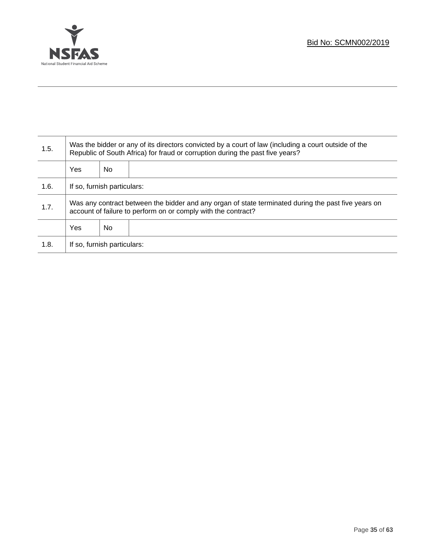

Τ

| 1.5. | Was the bidder or any of its directors convicted by a court of law (including a court outside of the<br>Republic of South Africa) for fraud or corruption during the past five years? |    |  |  |
|------|---------------------------------------------------------------------------------------------------------------------------------------------------------------------------------------|----|--|--|
|      | Yes                                                                                                                                                                                   | No |  |  |
| 1.6. | If so, furnish particulars:                                                                                                                                                           |    |  |  |
| 1.7. | Was any contract between the bidder and any organ of state terminated during the past five years on<br>account of failure to perform on or comply with the contract?                  |    |  |  |
|      | Yes                                                                                                                                                                                   | No |  |  |
| 1.8. | If so, furnish particulars:                                                                                                                                                           |    |  |  |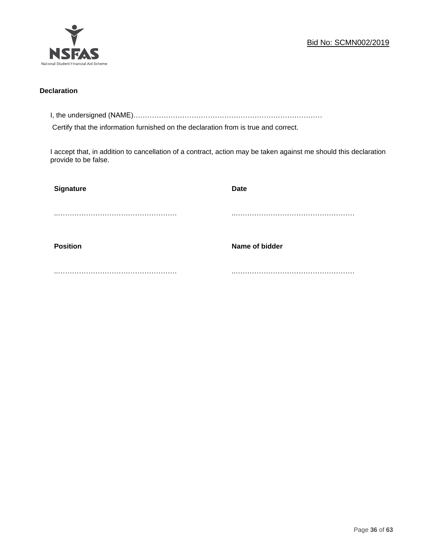

# **Declaration**

I, the undersigned (NAME)………………………………………………………………………

Certify that the information furnished on the declaration from is true and correct.

I accept that, in addition to cancellation of a contract, action may be taken against me should this declaration provide to be false.

| Signature       | <b>Date</b>    |
|-----------------|----------------|
|                 |                |
|                 |                |
| <b>Position</b> | Name of bidder |
|                 |                |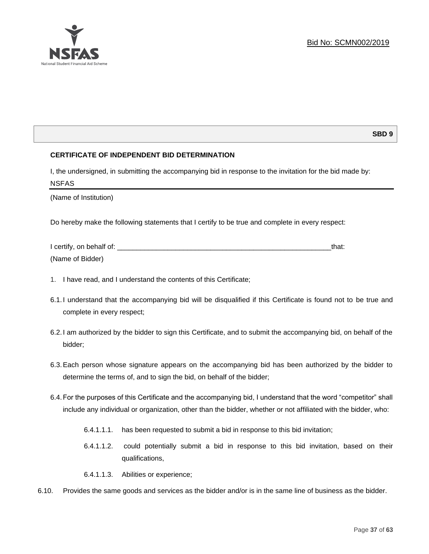

# **SBD 9**

# **CERTIFICATE OF INDEPENDENT BID DETERMINATION**

I, the undersigned, in submitting the accompanying bid in response to the invitation for the bid made by: NSFAS

(Name of Institution)

Do hereby make the following statements that I certify to be true and complete in every respect:

| I certify, on behalf of: |  |
|--------------------------|--|
| (Name of Bidder)         |  |

- 1. I have read, and I understand the contents of this Certificate;
- 6.1.I understand that the accompanying bid will be disqualified if this Certificate is found not to be true and complete in every respect;
- 6.2.I am authorized by the bidder to sign this Certificate, and to submit the accompanying bid, on behalf of the bidder;
- 6.3.Each person whose signature appears on the accompanying bid has been authorized by the bidder to determine the terms of, and to sign the bid, on behalf of the bidder;
- 6.4.For the purposes of this Certificate and the accompanying bid, I understand that the word "competitor" shall include any individual or organization, other than the bidder, whether or not affiliated with the bidder, who:
	- 6.4.1.1.1. has been requested to submit a bid in response to this bid invitation;
	- 6.4.1.1.2. could potentially submit a bid in response to this bid invitation, based on their qualifications,
	- 6.4.1.1.3. Abilities or experience;
- 6.10. Provides the same goods and services as the bidder and/or is in the same line of business as the bidder.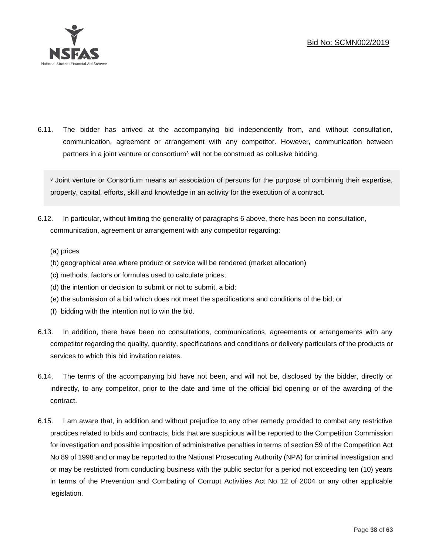

6.11. The bidder has arrived at the accompanying bid independently from, and without consultation, communication, agreement or arrangement with any competitor. However, communication between partners in a joint venture or consortium<sup>3</sup> will not be construed as collusive bidding.

<sup>3</sup> Joint venture or Consortium means an association of persons for the purpose of combining their expertise, property, capital, efforts, skill and knowledge in an activity for the execution of a contract.

- 6.12. In particular, without limiting the generality of paragraphs 6 above, there has been no consultation, communication, agreement or arrangement with any competitor regarding:
	- (a) prices
	- (b) geographical area where product or service will be rendered (market allocation)
	- (c) methods, factors or formulas used to calculate prices;
	- (d) the intention or decision to submit or not to submit, a bid;
	- (e) the submission of a bid which does not meet the specifications and conditions of the bid; or
	- (f) bidding with the intention not to win the bid.
- 6.13. In addition, there have been no consultations, communications, agreements or arrangements with any competitor regarding the quality, quantity, specifications and conditions or delivery particulars of the products or services to which this bid invitation relates.
- 6.14. The terms of the accompanying bid have not been, and will not be, disclosed by the bidder, directly or indirectly, to any competitor, prior to the date and time of the official bid opening or of the awarding of the contract.
- 6.15. I am aware that, in addition and without prejudice to any other remedy provided to combat any restrictive practices related to bids and contracts, bids that are suspicious will be reported to the Competition Commission for investigation and possible imposition of administrative penalties in terms of section 59 of the Competition Act No 89 of 1998 and or may be reported to the National Prosecuting Authority (NPA) for criminal investigation and or may be restricted from conducting business with the public sector for a period not exceeding ten (10) years in terms of the Prevention and Combating of Corrupt Activities Act No 12 of 2004 or any other applicable legislation.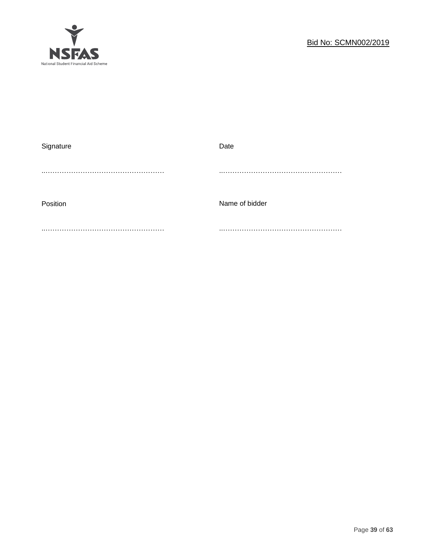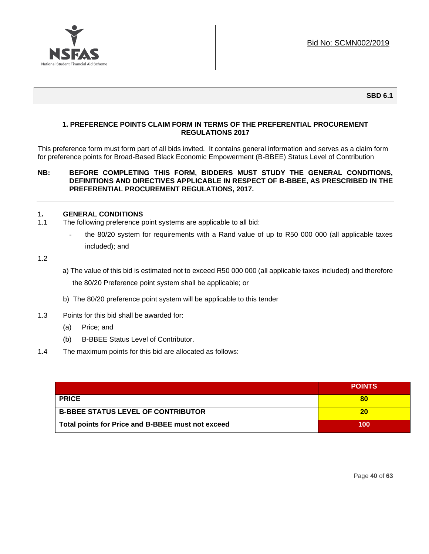

**SBD 6.1**

# **1. PREFERENCE POINTS CLAIM FORM IN TERMS OF THE PREFERENTIAL PROCUREMENT REGULATIONS 2017**

This preference form must form part of all bids invited. It contains general information and serves as a claim form for preference points for Broad-Based Black Economic Empowerment (B-BBEE) Status Level of Contribution

## **NB: BEFORE COMPLETING THIS FORM, BIDDERS MUST STUDY THE GENERAL CONDITIONS, DEFINITIONS AND DIRECTIVES APPLICABLE IN RESPECT OF B-BBEE, AS PRESCRIBED IN THE PREFERENTIAL PROCUREMENT REGULATIONS, 2017.**

## **1. GENERAL CONDITIONS**

- 1.1 The following preference point systems are applicable to all bid:
	- the 80/20 system for requirements with a Rand value of up to R50 000 000 (all applicable taxes included); and

1.2

- a) The value of this bid is estimated not to exceed R50 000 000 (all applicable taxes included) and therefore the 80/20 Preference point system shall be applicable; or
- b) The 80/20 preference point system will be applicable to this tender
- 1.3 Points for this bid shall be awarded for:
	- (a) Price; and
	- (b) B-BBEE Status Level of Contributor.
- 1.4 The maximum points for this bid are allocated as follows:

|                                                   | <b>POINTS</b> |
|---------------------------------------------------|---------------|
| <b>PRICE</b>                                      |               |
| <b>B-BBEE STATUS LEVEL OF CONTRIBUTOR</b>         | 20            |
| Total points for Price and B-BBEE must not exceed | 100           |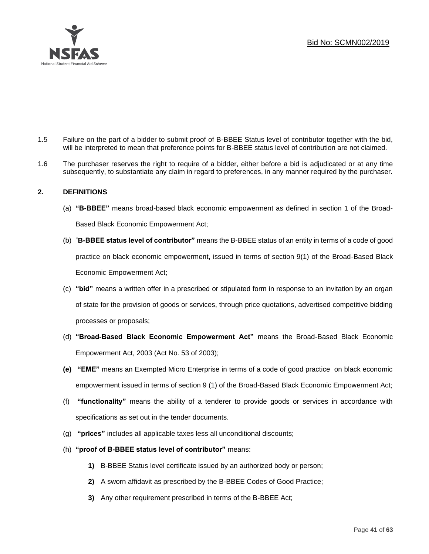

- 1.5 Failure on the part of a bidder to submit proof of B-BBEE Status level of contributor together with the bid, will be interpreted to mean that preference points for B-BBEE status level of contribution are not claimed.
- 1.6 The purchaser reserves the right to require of a bidder, either before a bid is adjudicated or at any time subsequently, to substantiate any claim in regard to preferences, in any manner required by the purchaser.

# **2. DEFINITIONS**

- (a) **"B-BBEE"** means broad-based black economic empowerment as defined in section 1 of the Broad-Based Black Economic Empowerment Act;
- (b) "**B-BBEE status level of contributor"** means the B-BBEE status of an entity in terms of a code of good practice on black economic empowerment, issued in terms of section 9(1) of the Broad-Based Black Economic Empowerment Act;
- (c) **"bid"** means a written offer in a prescribed or stipulated form in response to an invitation by an organ of state for the provision of goods or services, through price quotations, advertised competitive bidding processes or proposals;
- (d) **"Broad-Based Black Economic Empowerment Act"** means the Broad-Based Black Economic Empowerment Act, 2003 (Act No. 53 of 2003);
- **(e) "EME"** means an Exempted Micro Enterprise in terms of a code of good practice on black economic empowerment issued in terms of section 9 (1) of the Broad-Based Black Economic Empowerment Act;
- (f) **"functionality"** means the ability of a tenderer to provide goods or services in accordance with specifications as set out in the tender documents.
- (g) **"prices"** includes all applicable taxes less all unconditional discounts;
- (h) **"proof of B-BBEE status level of contributor"** means:
	- **1)** B-BBEE Status level certificate issued by an authorized body or person;
	- **2)** A sworn affidavit as prescribed by the B-BBEE Codes of Good Practice;
	- **3)** Any other requirement prescribed in terms of the B-BBEE Act;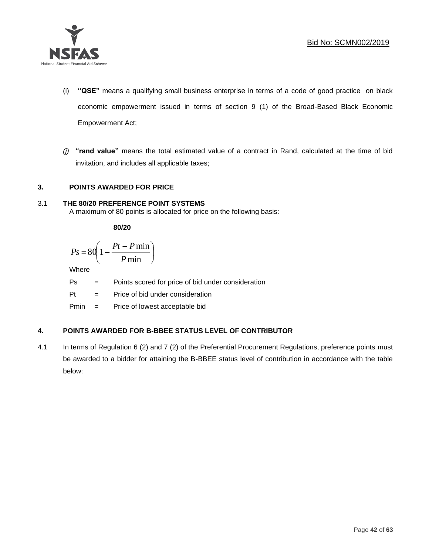

- (i) **"QSE"** means a qualifying small business enterprise in terms of a code of good practice on black economic empowerment issued in terms of section 9 (1) of the Broad-Based Black Economic Empowerment Act;
- *(j)* **"rand value"** means the total estimated value of a contract in Rand, calculated at the time of bid invitation, and includes all applicable taxes;

# **3. POINTS AWARDED FOR PRICE**

# 3.1 **THE 80/20 PREFERENCE POINT SYSTEMS**

A maximum of 80 points is allocated for price on the following basis:

**80/20**

$$
Ps = 80 \left( 1 - \frac{Pt - P \min}{P \min} \right)
$$

Where

Ps = Points scored for price of bid under consideration

I

Pt = Price of bid under consideration

Pmin = Price of lowest acceptable bid

# **4. POINTS AWARDED FOR B-BBEE STATUS LEVEL OF CONTRIBUTOR**

4.1 In terms of Regulation 6 (2) and 7 (2) of the Preferential Procurement Regulations, preference points must be awarded to a bidder for attaining the B-BBEE status level of contribution in accordance with the table below: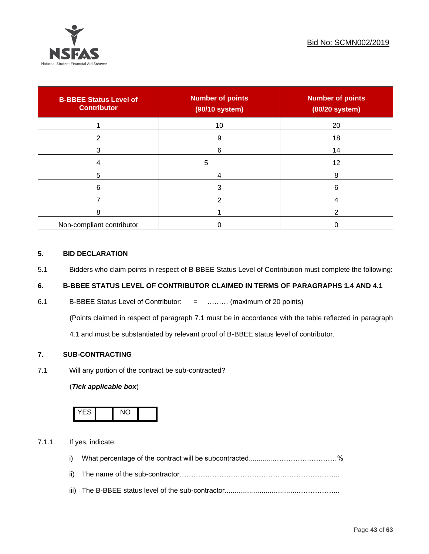

| <b>B-BBEE Status Level of</b><br><b>Contributor</b> | <b>Number of points</b><br>(90/10 system) | <b>Number of points</b><br>(80/20 system) |
|-----------------------------------------------------|-------------------------------------------|-------------------------------------------|
|                                                     | 10                                        | 20                                        |
| 2                                                   | 9                                         | 18                                        |
| 3                                                   | 6                                         | 14                                        |
|                                                     | 5                                         | 12                                        |
| 5                                                   |                                           | 8                                         |
| 6                                                   |                                           | 6                                         |
|                                                     |                                           |                                           |
| 8                                                   |                                           |                                           |
| Non-compliant contributor                           |                                           |                                           |

# **5. BID DECLARATION**

5.1 Bidders who claim points in respect of B-BBEE Status Level of Contribution must complete the following:

# **6. B-BBEE STATUS LEVEL OF CONTRIBUTOR CLAIMED IN TERMS OF PARAGRAPHS 1.4 AND 4.1**

6.1 B-BBEE Status Level of Contributor: = ……… (maximum of 20 points)

(Points claimed in respect of paragraph 7.1 must be in accordance with the table reflected in paragraph

4.1 and must be substantiated by relevant proof of B-BBEE status level of contributor.

# **7. SUB-CONTRACTING**

7.1 Will any portion of the contract be sub-contracted?

# (*Tick applicable box*)



7.1.1 If yes, indicate:

- i) What percentage of the contract will be subcontracted............…………….…………%
- ii) The name of the sub-contractor…………………………………………………………...
- iii) The B-BBEE status level of the sub-contractor......................................……………...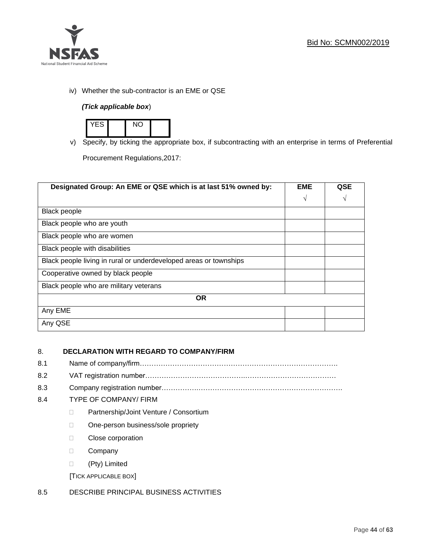

iv) Whether the sub-contractor is an EME or QSE

# *(Tick applicable box*)



v) Specify, by ticking the appropriate box, if subcontracting with an enterprise in terms of Preferential

Procurement Regulations,2017:

| Designated Group: An EME or QSE which is at last 51% owned by:    | <b>EME</b> | <b>QSE</b> |
|-------------------------------------------------------------------|------------|------------|
|                                                                   | $\sqrt{ }$ | V          |
| <b>Black people</b>                                               |            |            |
| Black people who are youth                                        |            |            |
| Black people who are women                                        |            |            |
| Black people with disabilities                                    |            |            |
| Black people living in rural or underdeveloped areas or townships |            |            |
| Cooperative owned by black people                                 |            |            |
| Black people who are military veterans                            |            |            |
| <b>OR</b>                                                         |            |            |
| Any EME                                                           |            |            |
| Any QSE                                                           |            |            |

# 8. **DECLARATION WITH REGARD TO COMPANY/FIRM**

- 8.1 Name of company/firm………………………………………………………………………….
- 8.2 VAT registration number…………………………………….…………………………………
- 8.3 Company registration number…………….……………………….…………………………….

# 8.4 TYPE OF COMPANY/ FIRM

- D Partnership/Joint Venture / Consortium
- □ One-person business/sole propriety
- **Close corporation**
- D Company
- (Pty) Limited

[TICK APPLICABLE BOX]

# 8.5 DESCRIBE PRINCIPAL BUSINESS ACTIVITIES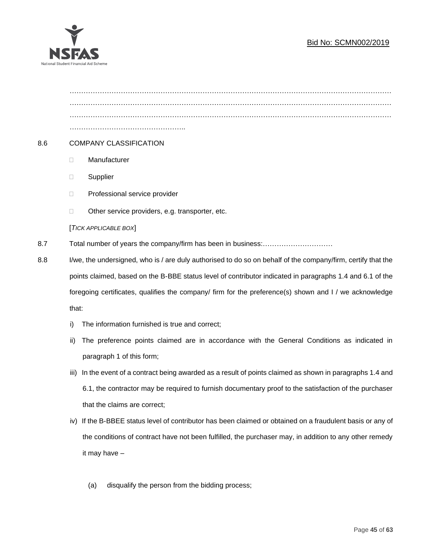

………………………………………………………………………………………………………………………… ………………………………………………………………………………………………………………………… ………………………………………….. 8.6 COMPANY CLASSIFICATION Manufacturer **Supplier** □ Professional service provider □ Other service providers, e.g. transporter, etc. [*TICK APPLICABLE BOX*] 8.7 Total number of years the company/firm has been in business:………………………… 8.8 I/we, the undersigned, who is / are duly authorised to do so on behalf of the company/firm, certify that the points claimed, based on the B-BBE status level of contributor indicated in paragraphs 1.4 and 6.1 of the foregoing certificates, qualifies the company/ firm for the preference(s) shown and I / we acknowledge that:

- i) The information furnished is true and correct;
- ii) The preference points claimed are in accordance with the General Conditions as indicated in paragraph 1 of this form;
- iii) In the event of a contract being awarded as a result of points claimed as shown in paragraphs 1.4 and 6.1, the contractor may be required to furnish documentary proof to the satisfaction of the purchaser that the claims are correct;
- iv) If the B-BBEE status level of contributor has been claimed or obtained on a fraudulent basis or any of the conditions of contract have not been fulfilled, the purchaser may, in addition to any other remedy it may have –
	- (a) disqualify the person from the bidding process;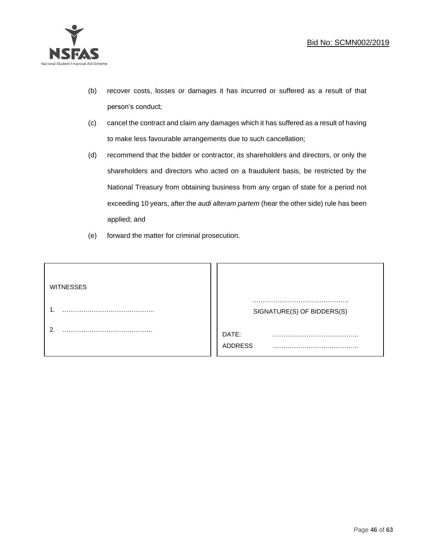

- (b) recover costs, losses or damages it has incurred or suffered as a result of that person's conduct;
- (c) cancel the contract and claim any damages which it has suffered as a result of having to make less favourable arrangements due to such cancellation;
- (d) recommend that the bidder or contractor, its shareholders and directors, or only the shareholders and directors who acted on a fraudulent basis, be restricted by the National Treasury from obtaining business from any organ of state for a period not exceeding 10 years, after the *audi alteram partem* (hear the other side) rule has been applied; and
- (e) forward the matter for criminal prosecution.

| <b>WITNESSES</b> |                            |
|------------------|----------------------------|
|                  | SIGNATURE(S) OF BIDDERS(S) |
|                  | DATE:<br>.<br>.<br>ADDRESS |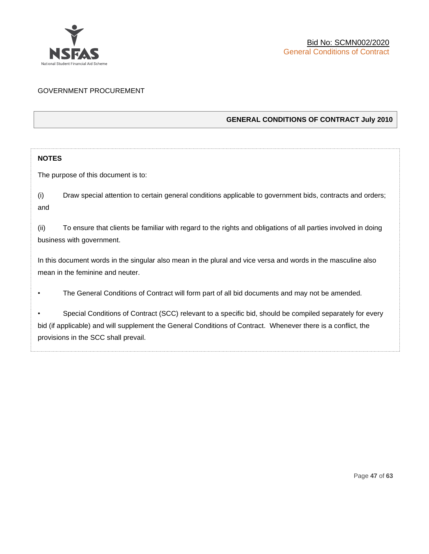

# GOVERNMENT PROCUREMENT

# **GENERAL CONDITIONS OF CONTRACT July 2010**

# **NOTES**

The purpose of this document is to:

(i) Draw special attention to certain general conditions applicable to government bids, contracts and orders; and

(ii) To ensure that clients be familiar with regard to the rights and obligations of all parties involved in doing business with government.

In this document words in the singular also mean in the plural and vice versa and words in the masculine also mean in the feminine and neuter.

• The General Conditions of Contract will form part of all bid documents and may not be amended.

Special Conditions of Contract (SCC) relevant to a specific bid, should be compiled separately for every bid (if applicable) and will supplement the General Conditions of Contract. Whenever there is a conflict, the provisions in the SCC shall prevail.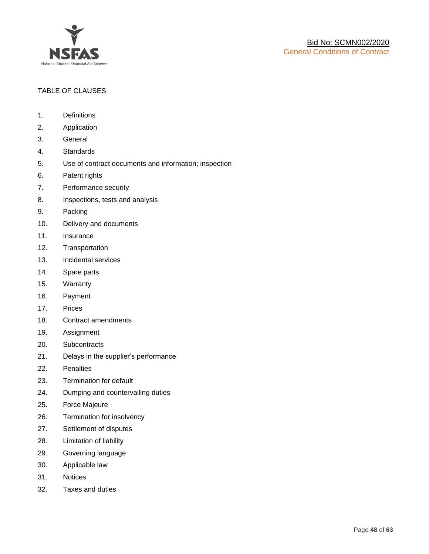

# TABLE OF CLAUSES

- 1. Definitions
- 2. Application
- 3. General
- 4. Standards
- 5. Use of contract documents and information; inspection
- 6. Patent rights
- 7. Performance security
- 8. Inspections, tests and analysis
- 9. Packing
- 10. Delivery and documents
- 11. Insurance
- 12. Transportation
- 13. Incidental services
- 14. Spare parts
- 15. Warranty
- 16. Payment
- 17. Prices
- 18. Contract amendments
- 19. Assignment
- 20. Subcontracts
- 21. Delays in the supplier's performance
- 22. Penalties
- 23. Termination for default
- 24. Dumping and countervailing duties
- 25. Force Majeure
- 26. Termination for insolvency
- 27. Settlement of disputes
- 28. Limitation of liability
- 29. Governing language
- 30. Applicable law
- 31. Notices
- 32. Taxes and duties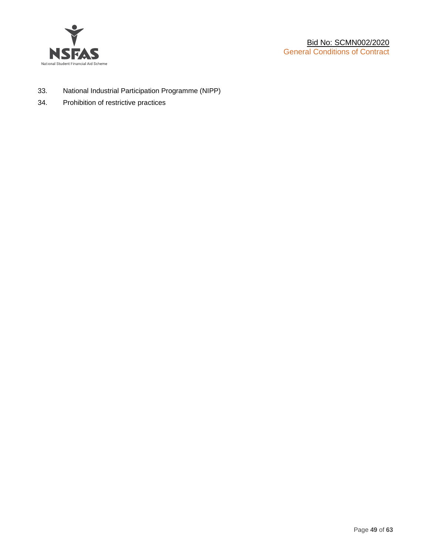

- 33. National Industrial Participation Programme (NIPP)
- 34. Prohibition of restrictive practices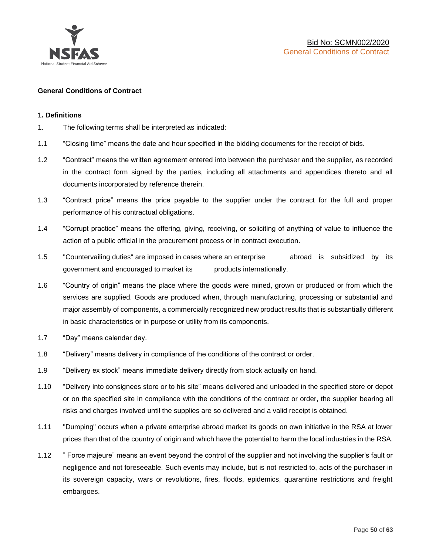

## **General Conditions of Contract**

#### **1. Definitions**

- 1. The following terms shall be interpreted as indicated:
- 1.1 "Closing time" means the date and hour specified in the bidding documents for the receipt of bids.
- 1.2 "Contract" means the written agreement entered into between the purchaser and the supplier, as recorded in the contract form signed by the parties, including all attachments and appendices thereto and all documents incorporated by reference therein.
- 1.3 "Contract price" means the price payable to the supplier under the contract for the full and proper performance of his contractual obligations.
- 1.4 "Corrupt practice" means the offering, giving, receiving, or soliciting of anything of value to influence the action of a public official in the procurement process or in contract execution.
- 1.5 "Countervailing duties" are imposed in cases where an enterprise abroad is subsidized by its government and encouraged to market its products internationally.
- 1.6 "Country of origin" means the place where the goods were mined, grown or produced or from which the services are supplied. Goods are produced when, through manufacturing, processing or substantial and major assembly of components, a commercially recognized new product results that is substantially different in basic characteristics or in purpose or utility from its components.
- 1.7 "Day" means calendar day.
- 1.8 "Delivery" means delivery in compliance of the conditions of the contract or order.
- 1.9 "Delivery ex stock" means immediate delivery directly from stock actually on hand.
- 1.10 "Delivery into consignees store or to his site" means delivered and unloaded in the specified store or depot or on the specified site in compliance with the conditions of the contract or order, the supplier bearing all risks and charges involved until the supplies are so delivered and a valid receipt is obtained.
- 1.11 "Dumping" occurs when a private enterprise abroad market its goods on own initiative in the RSA at lower prices than that of the country of origin and which have the potential to harm the local industries in the RSA.
- 1.12 " Force majeure" means an event beyond the control of the supplier and not involving the supplier's fault or negligence and not foreseeable. Such events may include, but is not restricted to, acts of the purchaser in its sovereign capacity, wars or revolutions, fires, floods, epidemics, quarantine restrictions and freight embargoes.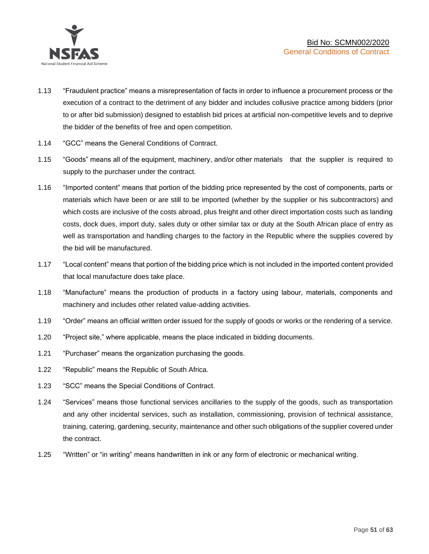

- 1.13 "Fraudulent practice" means a misrepresentation of facts in order to influence a procurement process or the execution of a contract to the detriment of any bidder and includes collusive practice among bidders (prior to or after bid submission) designed to establish bid prices at artificial non-competitive levels and to deprive the bidder of the benefits of free and open competition.
- 1.14 "GCC" means the General Conditions of Contract.
- 1.15 "Goods" means all of the equipment, machinery, and/or other materials that the supplier is required to supply to the purchaser under the contract.
- 1.16 "Imported content" means that portion of the bidding price represented by the cost of components, parts or materials which have been or are still to be imported (whether by the supplier or his subcontractors) and which costs are inclusive of the costs abroad, plus freight and other direct importation costs such as landing costs, dock dues, import duty, sales duty or other similar tax or duty at the South African place of entry as well as transportation and handling charges to the factory in the Republic where the supplies covered by the bid will be manufactured.
- 1.17 "Local content" means that portion of the bidding price which is not included in the imported content provided that local manufacture does take place.
- 1.18 "Manufacture" means the production of products in a factory using labour, materials, components and machinery and includes other related value-adding activities.
- 1.19 "Order" means an official written order issued for the supply of goods or works or the rendering of a service.
- 1.20 "Project site," where applicable, means the place indicated in bidding documents.
- 1.21 "Purchaser" means the organization purchasing the goods.
- 1.22 "Republic" means the Republic of South Africa.
- 1.23 "SCC" means the Special Conditions of Contract.
- 1.24 "Services" means those functional services ancillaries to the supply of the goods, such as transportation and any other incidental services, such as installation, commissioning, provision of technical assistance, training, catering, gardening, security, maintenance and other such obligations of the supplier covered under the contract.
- 1.25 "Written" or "in writing" means handwritten in ink or any form of electronic or mechanical writing.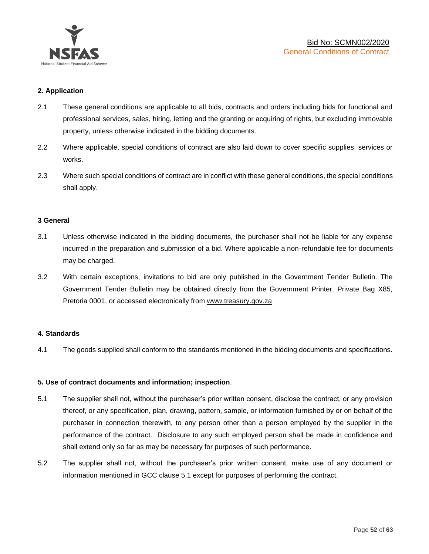

## **2. Application**

- 2.1 These general conditions are applicable to all bids, contracts and orders including bids for functional and professional services, sales, hiring, letting and the granting or acquiring of rights, but excluding immovable property, unless otherwise indicated in the bidding documents.
- 2.2 Where applicable, special conditions of contract are also laid down to cover specific supplies, services or works.
- 2.3 Where such special conditions of contract are in conflict with these general conditions, the special conditions shall apply.

#### **3 General**

- 3.1 Unless otherwise indicated in the bidding documents, the purchaser shall not be liable for any expense incurred in the preparation and submission of a bid. Where applicable a non-refundable fee for documents may be charged.
- 3.2 With certain exceptions, invitations to bid are only published in the Government Tender Bulletin. The Government Tender Bulletin may be obtained directly from the Government Printer, Private Bag X85, Pretoria 0001, or accessed electronically from [www.treasury.gov.za](http://www.treasury.gov.za/)

#### **4. Standards**

4.1 The goods supplied shall conform to the standards mentioned in the bidding documents and specifications.

#### **5. Use of contract documents and information; inspection**.

- 5.1 The supplier shall not, without the purchaser's prior written consent, disclose the contract, or any provision thereof, or any specification, plan, drawing, pattern, sample, or information furnished by or on behalf of the purchaser in connection therewith, to any person other than a person employed by the supplier in the performance of the contract. Disclosure to any such employed person shall be made in confidence and shall extend only so far as may be necessary for purposes of such performance.
- 5.2 The supplier shall not, without the purchaser's prior written consent, make use of any document or information mentioned in GCC clause 5.1 except for purposes of performing the contract.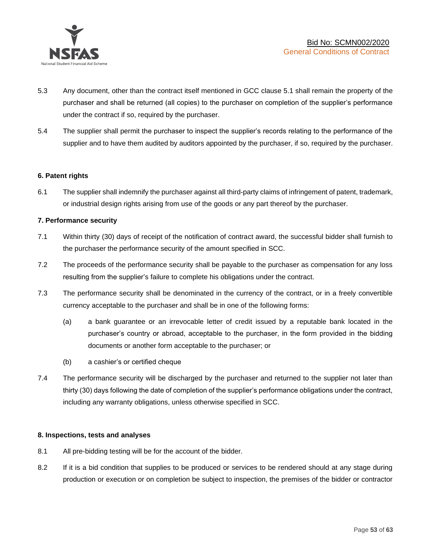

- 5.3 Any document, other than the contract itself mentioned in GCC clause 5.1 shall remain the property of the purchaser and shall be returned (all copies) to the purchaser on completion of the supplier's performance under the contract if so, required by the purchaser.
- 5.4 The supplier shall permit the purchaser to inspect the supplier's records relating to the performance of the supplier and to have them audited by auditors appointed by the purchaser, if so, required by the purchaser.

## **6. Patent rights**

6.1 The supplier shall indemnify the purchaser against all third-party claims of infringement of patent, trademark, or industrial design rights arising from use of the goods or any part thereof by the purchaser.

## **7. Performance security**

- 7.1 Within thirty (30) days of receipt of the notification of contract award, the successful bidder shall furnish to the purchaser the performance security of the amount specified in SCC.
- 7.2 The proceeds of the performance security shall be payable to the purchaser as compensation for any loss resulting from the supplier's failure to complete his obligations under the contract.
- 7.3 The performance security shall be denominated in the currency of the contract, or in a freely convertible currency acceptable to the purchaser and shall be in one of the following forms:
	- (a) a bank guarantee or an irrevocable letter of credit issued by a reputable bank located in the purchaser's country or abroad, acceptable to the purchaser, in the form provided in the bidding documents or another form acceptable to the purchaser; or
	- (b) a cashier's or certified cheque
- 7.4 The performance security will be discharged by the purchaser and returned to the supplier not later than thirty (30) days following the date of completion of the supplier's performance obligations under the contract, including any warranty obligations, unless otherwise specified in SCC.

#### **8. Inspections, tests and analyses**

- 8.1 All pre-bidding testing will be for the account of the bidder.
- 8.2 If it is a bid condition that supplies to be produced or services to be rendered should at any stage during production or execution or on completion be subject to inspection, the premises of the bidder or contractor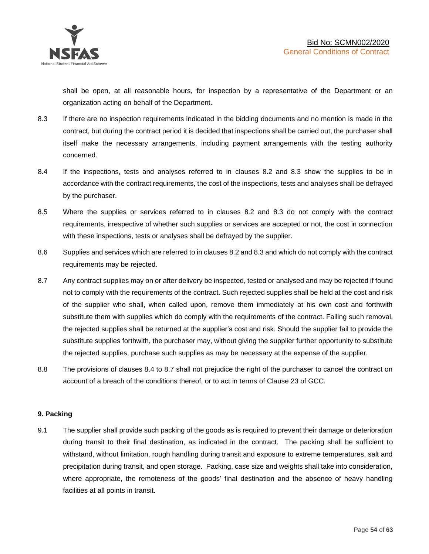shall be open, at all reasonable hours, for inspection by a representative of the Department or an organization acting on behalf of the Department.

- 8.3 If there are no inspection requirements indicated in the bidding documents and no mention is made in the contract, but during the contract period it is decided that inspections shall be carried out, the purchaser shall itself make the necessary arrangements, including payment arrangements with the testing authority concerned.
- 8.4 If the inspections, tests and analyses referred to in clauses 8.2 and 8.3 show the supplies to be in accordance with the contract requirements, the cost of the inspections, tests and analyses shall be defrayed by the purchaser.
- 8.5 Where the supplies or services referred to in clauses 8.2 and 8.3 do not comply with the contract requirements, irrespective of whether such supplies or services are accepted or not, the cost in connection with these inspections, tests or analyses shall be defrayed by the supplier.
- 8.6 Supplies and services which are referred to in clauses 8.2 and 8.3 and which do not comply with the contract requirements may be rejected.
- 8.7 Any contract supplies may on or after delivery be inspected, tested or analysed and may be rejected if found not to comply with the requirements of the contract. Such rejected supplies shall be held at the cost and risk of the supplier who shall, when called upon, remove them immediately at his own cost and forthwith substitute them with supplies which do comply with the requirements of the contract. Failing such removal, the rejected supplies shall be returned at the supplier's cost and risk. Should the supplier fail to provide the substitute supplies forthwith, the purchaser may, without giving the supplier further opportunity to substitute the rejected supplies, purchase such supplies as may be necessary at the expense of the supplier.
- 8.8 The provisions of clauses 8.4 to 8.7 shall not prejudice the right of the purchaser to cancel the contract on account of a breach of the conditions thereof, or to act in terms of Clause 23 of GCC.

# **9. Packing**

9.1 The supplier shall provide such packing of the goods as is required to prevent their damage or deterioration during transit to their final destination, as indicated in the contract. The packing shall be sufficient to withstand, without limitation, rough handling during transit and exposure to extreme temperatures, salt and precipitation during transit, and open storage. Packing, case size and weights shall take into consideration, where appropriate, the remoteness of the goods' final destination and the absence of heavy handling facilities at all points in transit.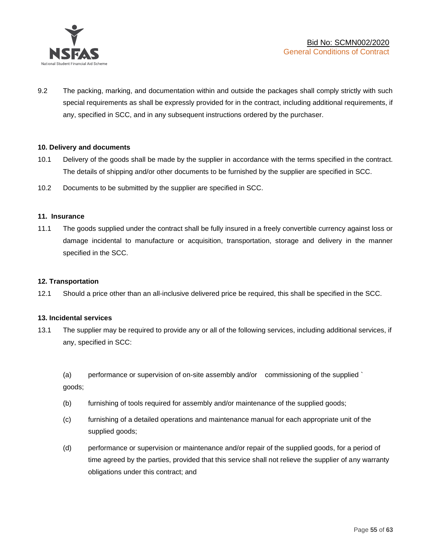

9.2 The packing, marking, and documentation within and outside the packages shall comply strictly with such special requirements as shall be expressly provided for in the contract, including additional requirements, if any, specified in SCC, and in any subsequent instructions ordered by the purchaser.

## **10. Delivery and documents**

- 10.1 Delivery of the goods shall be made by the supplier in accordance with the terms specified in the contract. The details of shipping and/or other documents to be furnished by the supplier are specified in SCC.
- 10.2 Documents to be submitted by the supplier are specified in SCC.

#### **11. Insurance**

11.1 The goods supplied under the contract shall be fully insured in a freely convertible currency against loss or damage incidental to manufacture or acquisition, transportation, storage and delivery in the manner specified in the SCC.

#### **12. Transportation**

12.1 Should a price other than an all-inclusive delivered price be required, this shall be specified in the SCC.

#### **13. Incidental services**

13.1 The supplier may be required to provide any or all of the following services, including additional services, if any, specified in SCC:

(a) performance or supervision of on-site assembly and/or commissioning of the supplied ` goods;

- (b) furnishing of tools required for assembly and/or maintenance of the supplied goods;
- (c) furnishing of a detailed operations and maintenance manual for each appropriate unit of the supplied goods;
- (d) performance or supervision or maintenance and/or repair of the supplied goods, for a period of time agreed by the parties, provided that this service shall not relieve the supplier of any warranty obligations under this contract; and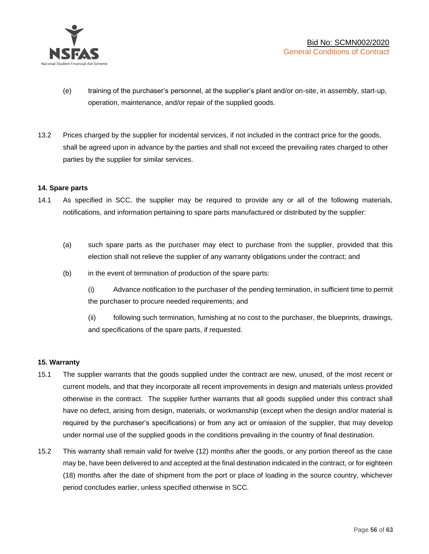

- (e) training of the purchaser's personnel, at the supplier's plant and/or on-site, in assembly, start-up, operation, maintenance, and/or repair of the supplied goods.
- 13.2 Prices charged by the supplier for incidental services, if not included in the contract price for the goods, shall be agreed upon in advance by the parties and shall not exceed the prevailing rates charged to other parties by the supplier for similar services.

## **14. Spare parts**

- 14.1 As specified in SCC, the supplier may be required to provide any or all of the following materials, notifications, and information pertaining to spare parts manufactured or distributed by the supplier:
	- (a) such spare parts as the purchaser may elect to purchase from the supplier, provided that this election shall not relieve the supplier of any warranty obligations under the contract; and
	- (b) in the event of termination of production of the spare parts:

(i) Advance notification to the purchaser of the pending termination, in sufficient time to permit the purchaser to procure needed requirements; and

(ii) following such termination, furnishing at no cost to the purchaser, the blueprints, drawings, and specifications of the spare parts, if requested.

#### **15. Warranty**

- 15.1 The supplier warrants that the goods supplied under the contract are new, unused, of the most recent or current models, and that they incorporate all recent improvements in design and materials unless provided otherwise in the contract. The supplier further warrants that all goods supplied under this contract shall have no defect, arising from design, materials, or workmanship (except when the design and/or material is required by the purchaser's specifications) or from any act or omission of the supplier, that may develop under normal use of the supplied goods in the conditions prevailing in the country of final destination.
- 15.2 This warranty shall remain valid for twelve (12) months after the goods, or any portion thereof as the case may be, have been delivered to and accepted at the final destination indicated in the contract, or for eighteen (18) months after the date of shipment from the port or place of loading in the source country, whichever period concludes earlier, unless specified otherwise in SCC.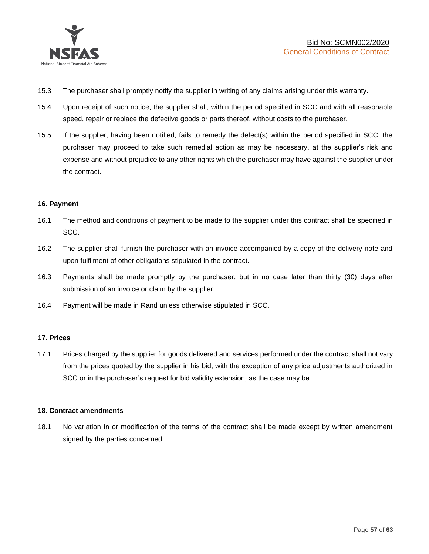

- 15.3 The purchaser shall promptly notify the supplier in writing of any claims arising under this warranty.
- 15.4 Upon receipt of such notice, the supplier shall, within the period specified in SCC and with all reasonable speed, repair or replace the defective goods or parts thereof, without costs to the purchaser.
- 15.5 If the supplier, having been notified, fails to remedy the defect(s) within the period specified in SCC, the purchaser may proceed to take such remedial action as may be necessary, at the supplier's risk and expense and without prejudice to any other rights which the purchaser may have against the supplier under the contract.

## **16. Payment**

- 16.1 The method and conditions of payment to be made to the supplier under this contract shall be specified in SCC.
- 16.2 The supplier shall furnish the purchaser with an invoice accompanied by a copy of the delivery note and upon fulfilment of other obligations stipulated in the contract.
- 16.3 Payments shall be made promptly by the purchaser, but in no case later than thirty (30) days after submission of an invoice or claim by the supplier.
- 16.4 Payment will be made in Rand unless otherwise stipulated in SCC.

#### **17. Prices**

17.1 Prices charged by the supplier for goods delivered and services performed under the contract shall not vary from the prices quoted by the supplier in his bid, with the exception of any price adjustments authorized in SCC or in the purchaser's request for bid validity extension, as the case may be.

#### **18. Contract amendments**

18.1 No variation in or modification of the terms of the contract shall be made except by written amendment signed by the parties concerned.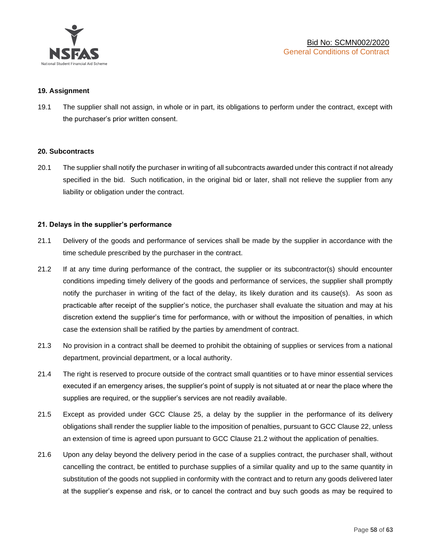

#### **19. Assignment**

19.1 The supplier shall not assign, in whole or in part, its obligations to perform under the contract, except with the purchaser's prior written consent.

#### **20. Subcontracts**

20.1 The supplier shall notify the purchaser in writing of all subcontracts awarded under this contract if not already specified in the bid. Such notification, in the original bid or later, shall not relieve the supplier from any liability or obligation under the contract.

## **21. Delays in the supplier's performance**

- 21.1 Delivery of the goods and performance of services shall be made by the supplier in accordance with the time schedule prescribed by the purchaser in the contract.
- 21.2 If at any time during performance of the contract, the supplier or its subcontractor(s) should encounter conditions impeding timely delivery of the goods and performance of services, the supplier shall promptly notify the purchaser in writing of the fact of the delay, its likely duration and its cause(s). As soon as practicable after receipt of the supplier's notice, the purchaser shall evaluate the situation and may at his discretion extend the supplier's time for performance, with or without the imposition of penalties, in which case the extension shall be ratified by the parties by amendment of contract.
- 21.3 No provision in a contract shall be deemed to prohibit the obtaining of supplies or services from a national department, provincial department, or a local authority.
- 21.4 The right is reserved to procure outside of the contract small quantities or to have minor essential services executed if an emergency arises, the supplier's point of supply is not situated at or near the place where the supplies are required, or the supplier's services are not readily available.
- 21.5 Except as provided under GCC Clause 25, a delay by the supplier in the performance of its delivery obligations shall render the supplier liable to the imposition of penalties, pursuant to GCC Clause 22, unless an extension of time is agreed upon pursuant to GCC Clause 21.2 without the application of penalties.
- 21.6 Upon any delay beyond the delivery period in the case of a supplies contract, the purchaser shall, without cancelling the contract, be entitled to purchase supplies of a similar quality and up to the same quantity in substitution of the goods not supplied in conformity with the contract and to return any goods delivered later at the supplier's expense and risk, or to cancel the contract and buy such goods as may be required to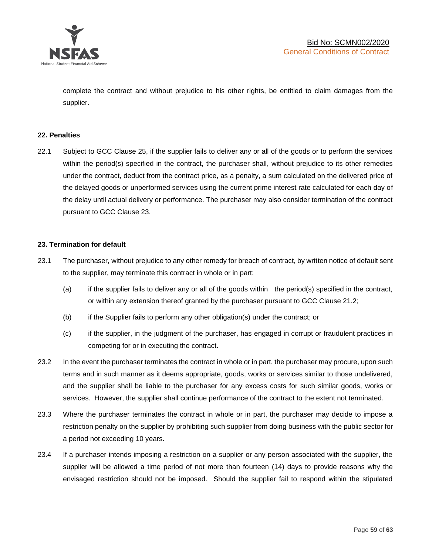

complete the contract and without prejudice to his other rights, be entitled to claim damages from the supplier.

#### **22. Penalties**

22.1 Subject to GCC Clause 25, if the supplier fails to deliver any or all of the goods or to perform the services within the period(s) specified in the contract, the purchaser shall, without prejudice to its other remedies under the contract, deduct from the contract price, as a penalty, a sum calculated on the delivered price of the delayed goods or unperformed services using the current prime interest rate calculated for each day of the delay until actual delivery or performance. The purchaser may also consider termination of the contract pursuant to GCC Clause 23.

#### **23. Termination for default**

- 23.1 The purchaser, without prejudice to any other remedy for breach of contract, by written notice of default sent to the supplier, may terminate this contract in whole or in part:
	- (a) if the supplier fails to deliver any or all of the goods within the period(s) specified in the contract, or within any extension thereof granted by the purchaser pursuant to GCC Clause 21.2;
	- (b) if the Supplier fails to perform any other obligation(s) under the contract; or
	- (c) if the supplier, in the judgment of the purchaser, has engaged in corrupt or fraudulent practices in competing for or in executing the contract.
- 23.2 In the event the purchaser terminates the contract in whole or in part, the purchaser may procure, upon such terms and in such manner as it deems appropriate, goods, works or services similar to those undelivered, and the supplier shall be liable to the purchaser for any excess costs for such similar goods, works or services. However, the supplier shall continue performance of the contract to the extent not terminated.
- 23.3 Where the purchaser terminates the contract in whole or in part, the purchaser may decide to impose a restriction penalty on the supplier by prohibiting such supplier from doing business with the public sector for a period not exceeding 10 years.
- 23.4 If a purchaser intends imposing a restriction on a supplier or any person associated with the supplier, the supplier will be allowed a time period of not more than fourteen (14) days to provide reasons why the envisaged restriction should not be imposed. Should the supplier fail to respond within the stipulated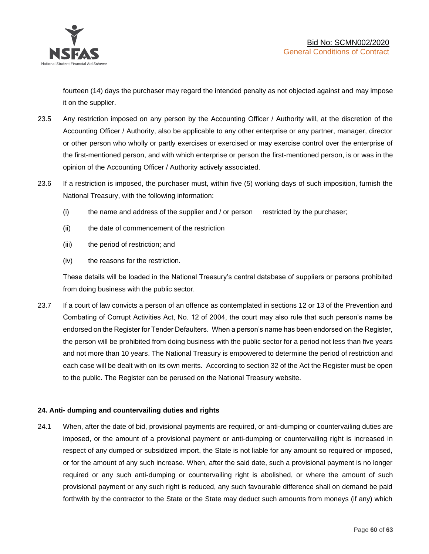

fourteen (14) days the purchaser may regard the intended penalty as not objected against and may impose it on the supplier.

- 23.5 Any restriction imposed on any person by the Accounting Officer / Authority will, at the discretion of the Accounting Officer / Authority, also be applicable to any other enterprise or any partner, manager, director or other person who wholly or partly exercises or exercised or may exercise control over the enterprise of the first-mentioned person, and with which enterprise or person the first-mentioned person, is or was in the opinion of the Accounting Officer / Authority actively associated.
- 23.6 If a restriction is imposed, the purchaser must, within five (5) working days of such imposition, furnish the National Treasury, with the following information:
	- (i) the name and address of the supplier and / or person restricted by the purchaser;
	- (ii) the date of commencement of the restriction
	- (iii) the period of restriction; and
	- (iv) the reasons for the restriction.

These details will be loaded in the National Treasury's central database of suppliers or persons prohibited from doing business with the public sector.

23.7 If a court of law convicts a person of an offence as contemplated in sections 12 or 13 of the Prevention and Combating of Corrupt Activities Act, No. 12 of 2004, the court may also rule that such person's name be endorsed on the Register for Tender Defaulters. When a person's name has been endorsed on the Register, the person will be prohibited from doing business with the public sector for a period not less than five years and not more than 10 years. The National Treasury is empowered to determine the period of restriction and each case will be dealt with on its own merits. According to section 32 of the Act the Register must be open to the public. The Register can be perused on the National Treasury website.

# **24. Anti- dumping and countervailing duties and rights**

24.1 When, after the date of bid, provisional payments are required, or anti-dumping or countervailing duties are imposed, or the amount of a provisional payment or anti-dumping or countervailing right is increased in respect of any dumped or subsidized import, the State is not liable for any amount so required or imposed, or for the amount of any such increase. When, after the said date, such a provisional payment is no longer required or any such anti-dumping or countervailing right is abolished, or where the amount of such provisional payment or any such right is reduced, any such favourable difference shall on demand be paid forthwith by the contractor to the State or the State may deduct such amounts from moneys (if any) which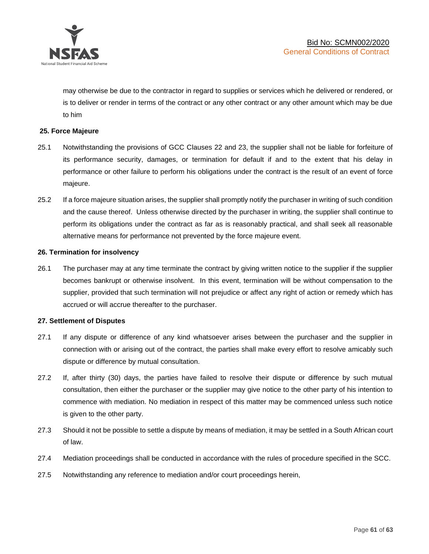

may otherwise be due to the contractor in regard to supplies or services which he delivered or rendered, or is to deliver or render in terms of the contract or any other contract or any other amount which may be due to him

## **25. Force Majeure**

- 25.1 Notwithstanding the provisions of GCC Clauses 22 and 23, the supplier shall not be liable for forfeiture of its performance security, damages, or termination for default if and to the extent that his delay in performance or other failure to perform his obligations under the contract is the result of an event of force majeure.
- 25.2 If a force majeure situation arises, the supplier shall promptly notify the purchaser in writing of such condition and the cause thereof. Unless otherwise directed by the purchaser in writing, the supplier shall continue to perform its obligations under the contract as far as is reasonably practical, and shall seek all reasonable alternative means for performance not prevented by the force majeure event.

#### **26. Termination for insolvency**

26.1 The purchaser may at any time terminate the contract by giving written notice to the supplier if the supplier becomes bankrupt or otherwise insolvent. In this event, termination will be without compensation to the supplier, provided that such termination will not prejudice or affect any right of action or remedy which has accrued or will accrue thereafter to the purchaser.

#### **27. Settlement of Disputes**

- 27.1 If any dispute or difference of any kind whatsoever arises between the purchaser and the supplier in connection with or arising out of the contract, the parties shall make every effort to resolve amicably such dispute or difference by mutual consultation.
- 27.2 If, after thirty (30) days, the parties have failed to resolve their dispute or difference by such mutual consultation, then either the purchaser or the supplier may give notice to the other party of his intention to commence with mediation. No mediation in respect of this matter may be commenced unless such notice is given to the other party.
- 27.3 Should it not be possible to settle a dispute by means of mediation, it may be settled in a South African court of law.
- 27.4 Mediation proceedings shall be conducted in accordance with the rules of procedure specified in the SCC.
- 27.5 Notwithstanding any reference to mediation and/or court proceedings herein,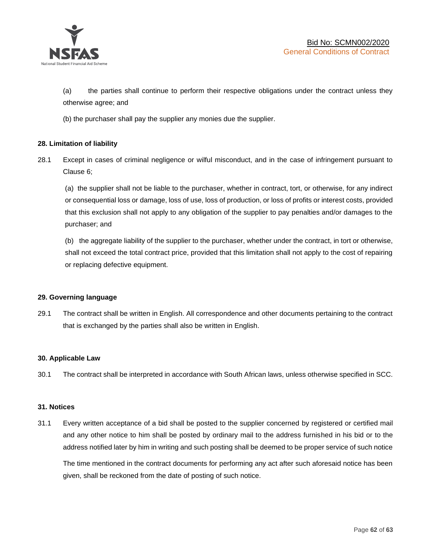

(a) the parties shall continue to perform their respective obligations under the contract unless they otherwise agree; and

(b) the purchaser shall pay the supplier any monies due the supplier.

# **28. Limitation of liability**

28.1 Except in cases of criminal negligence or wilful misconduct, and in the case of infringement pursuant to Clause 6;

(a) the supplier shall not be liable to the purchaser, whether in contract, tort, or otherwise, for any indirect or consequential loss or damage, loss of use, loss of production, or loss of profits or interest costs, provided that this exclusion shall not apply to any obligation of the supplier to pay penalties and/or damages to the purchaser; and

(b) the aggregate liability of the supplier to the purchaser, whether under the contract, in tort or otherwise, shall not exceed the total contract price, provided that this limitation shall not apply to the cost of repairing or replacing defective equipment.

#### **29. Governing language**

29.1 The contract shall be written in English. All correspondence and other documents pertaining to the contract that is exchanged by the parties shall also be written in English.

#### **30. Applicable Law**

30.1 The contract shall be interpreted in accordance with South African laws, unless otherwise specified in SCC.

#### **31. Notices**

31.1 Every written acceptance of a bid shall be posted to the supplier concerned by registered or certified mail and any other notice to him shall be posted by ordinary mail to the address furnished in his bid or to the address notified later by him in writing and such posting shall be deemed to be proper service of such notice

The time mentioned in the contract documents for performing any act after such aforesaid notice has been given, shall be reckoned from the date of posting of such notice.